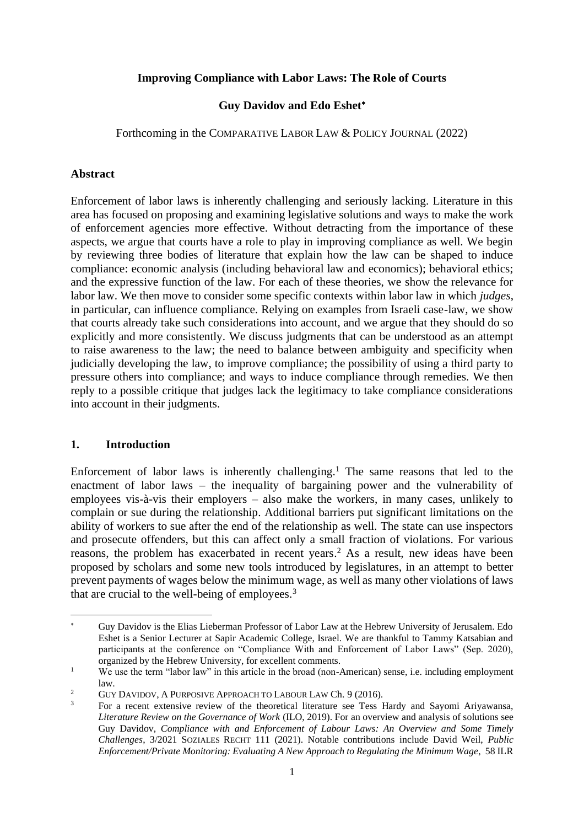#### **Improving Compliance with Labor Laws: The Role of Courts**

#### **Guy Davidov and Edo Eshet**

Forthcoming in the COMPARATIVE LABOR LAW & POLICY JOURNAL (2022)

#### **Abstract**

Enforcement of labor laws is inherently challenging and seriously lacking. Literature in this area has focused on proposing and examining legislative solutions and ways to make the work of enforcement agencies more effective. Without detracting from the importance of these aspects, we argue that courts have a role to play in improving compliance as well. We begin by reviewing three bodies of literature that explain how the law can be shaped to induce compliance: economic analysis (including behavioral law and economics); behavioral ethics; and the expressive function of the law. For each of these theories, we show the relevance for labor law. We then move to consider some specific contexts within labor law in which *judges*, in particular, can influence compliance. Relying on examples from Israeli case-law, we show that courts already take such considerations into account, and we argue that they should do so explicitly and more consistently. We discuss judgments that can be understood as an attempt to raise awareness to the law; the need to balance between ambiguity and specificity when judicially developing the law, to improve compliance; the possibility of using a third party to pressure others into compliance; and ways to induce compliance through remedies. We then reply to a possible critique that judges lack the legitimacy to take compliance considerations into account in their judgments.

## **1. Introduction**

Enforcement of labor laws is inherently challenging.<sup>1</sup> The same reasons that led to the enactment of labor laws – the inequality of bargaining power and the vulnerability of employees vis-à-vis their employers – also make the workers, in many cases, unlikely to complain or sue during the relationship. Additional barriers put significant limitations on the ability of workers to sue after the end of the relationship as well. The state can use inspectors and prosecute offenders, but this can affect only a small fraction of violations. For various reasons, the problem has exacerbated in recent years. <sup>2</sup> As a result, new ideas have been proposed by scholars and some new tools introduced by legislatures, in an attempt to better prevent payments of wages below the minimum wage, as well as many other violations of laws that are crucial to the well-being of employees.<sup>3</sup>

<span id="page-0-1"></span><span id="page-0-0"></span>Guy Davidov is the Elias Lieberman Professor of Labor Law at the Hebrew University of Jerusalem. Edo Eshet is a Senior Lecturer at Sapir Academic College, Israel. We are thankful to Tammy Katsabian and participants at the conference on "Compliance With and Enforcement of Labor Laws" (Sep. 2020), organized by the Hebrew University, for excellent comments.

<sup>&</sup>lt;sup>1</sup> We use the term "labor law" in this article in the broad (non-American) sense, i.e. including employment law.

<sup>&</sup>lt;sup>2</sup> GUY DAVIDOV, A PURPOSIVE APPROACH TO LABOUR LAW Ch. 9 (2016).

<sup>3</sup> For a recent extensive review of the theoretical literature see Tess Hardy and Sayomi Ariyawansa, *Literature Review on the Governance of Work* (ILO, 2019). For an overview and analysis of solutions see Guy Davidov, *Compliance with and Enforcement of Labour Laws: An Overview and Some Timely Challenges*, 3/2021 SOZIALES RECHT 111 (2021). Notable contributions include David Weil, *Public Enforcement/Private Monitoring: Evaluating A New Approach to Regulating the Minimum Wage*, 58 ILR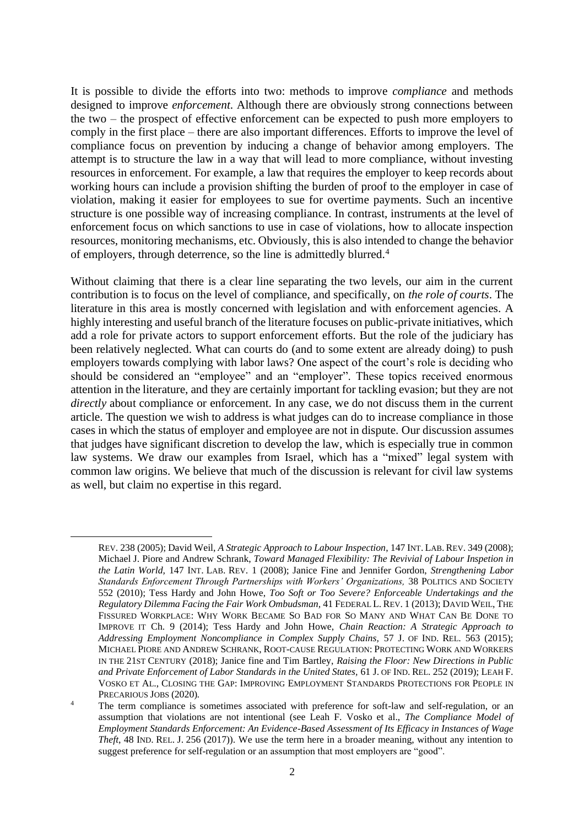It is possible to divide the efforts into two: methods to improve *compliance* and methods designed to improve *enforcement*. Although there are obviously strong connections between the two – the prospect of effective enforcement can be expected to push more employers to comply in the first place – there are also important differences. Efforts to improve the level of compliance focus on prevention by inducing a change of behavior among employers. The attempt is to structure the law in a way that will lead to more compliance, without investing resources in enforcement. For example, a law that requires the employer to keep records about working hours can include a provision shifting the burden of proof to the employer in case of violation, making it easier for employees to sue for overtime payments. Such an incentive structure is one possible way of increasing compliance. In contrast, instruments at the level of enforcement focus on which sanctions to use in case of violations, how to allocate inspection resources, monitoring mechanisms, etc. Obviously, this is also intended to change the behavior of employers, through deterrence, so the line is admittedly blurred. 4

Without claiming that there is a clear line separating the two levels, our aim in the current contribution is to focus on the level of compliance, and specifically, on *the role of courts*. The literature in this area is mostly concerned with legislation and with enforcement agencies. A highly interesting and useful branch of the literature focuses on public-private initiatives, which add a role for private actors to support enforcement efforts. But the role of the judiciary has been relatively neglected. What can courts do (and to some extent are already doing) to push employers towards complying with labor laws? One aspect of the court's role is deciding who should be considered an "employee" and an "employer". These topics received enormous attention in the literature, and they are certainly important for tackling evasion; but they are not *directly* about compliance or enforcement. In any case, we do not discuss them in the current article. The question we wish to address is what judges can do to increase compliance in those cases in which the status of employer and employee are not in dispute. Our discussion assumes that judges have significant discretion to develop the law, which is especially true in common law systems. We draw our examples from Israel, which has a "mixed" legal system with common law origins. We believe that much of the discussion is relevant for civil law systems as well, but claim no expertise in this regard.

REV. 238 (2005); David Weil, *A Strategic Approach to Labour Inspection*, 147 INT. LAB. REV. 349 (2008); Michael J. Piore and Andrew Schrank, *Toward Managed Flexibility: The Revivial of Labour Inspetion in the Latin World,* 147 INT. LAB. REV. 1 (2008); Janice Fine and Jennifer Gordon, *Strengthening Labor Standards Enforcement Through Partnerships with Workers' Organizations,* 38 POLITICS AND SOCIETY 552 (2010); Tess Hardy and John Howe, *Too Soft or Too Severe? Enforceable Undertakings and the Regulatory Dilemma Facing the Fair Work Ombudsman,* 41 FEDERAL L. REV. 1 (2013); DAVID WEIL, THE FISSURED WORKPLACE: WHY WORK BECAME SO BAD FOR SO MANY AND WHAT CAN BE DONE TO IMPROVE IT Ch. 9 (2014); Tess Hardy and John Howe, *Chain Reaction: A Strategic Approach to Addressing Employment Noncompliance in Complex Supply Chains,* 57 J. OF IND. REL. 563 (2015); MICHAEL PIORE AND ANDREW SCHRANK, ROOT-CAUSE REGULATION:PROTECTING WORK AND WORKERS IN THE 21ST CENTURY (2018); Janice fine and Tim Bartley, *Raising the Floor: New Directions in Public and Private Enforcement of Labor Standards in the United States,* 61 J. OF IND. REL. 252 (2019); LEAH F. VOSKO ET AL., CLOSING THE GAP: IMPROVING EMPLOYMENT STANDARDS PROTECTIONS FOR PEOPLE IN PRECARIOUS JOBS (2020)*.*

<sup>&</sup>lt;sup>4</sup> The term compliance is sometimes associated with preference for soft-law and self-regulation, or an assumption that violations are not intentional (see Leah F. Vosko et al., *The Compliance Model of Employment Standards Enforcement: An Evidence-Based Assessment of Its Efficacy in Instances of Wage Theft*, 48 IND. REL. J. 256 (2017)). We use the term here in a broader meaning, without any intention to suggest preference for self-regulation or an assumption that most employers are "good".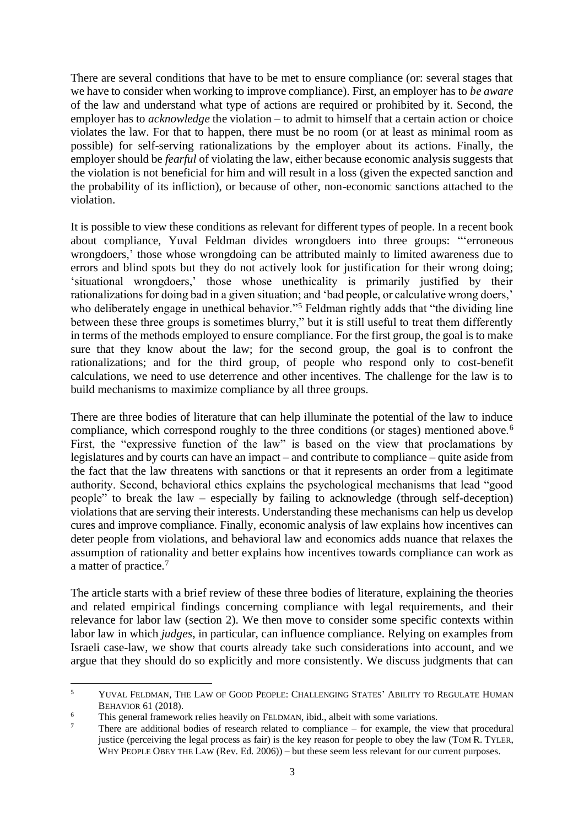There are several conditions that have to be met to ensure compliance (or: several stages that we have to consider when working to improve compliance). First, an employer has to *be aware* of the law and understand what type of actions are required or prohibited by it. Second, the employer has to *acknowledge* the violation – to admit to himself that a certain action or choice violates the law. For that to happen, there must be no room (or at least as minimal room as possible) for self-serving rationalizations by the employer about its actions. Finally, the employer should be *fearful* of violating the law, either because economic analysis suggests that the violation is not beneficial for him and will result in a loss (given the expected sanction and the probability of its infliction), or because of other, non-economic sanctions attached to the violation.

<span id="page-2-0"></span>It is possible to view these conditions as relevant for different types of people. In a recent book about compliance, Yuval Feldman divides wrongdoers into three groups: "'erroneous wrongdoers,' those whose wrongdoing can be attributed mainly to limited awareness due to errors and blind spots but they do not actively look for justification for their wrong doing; 'situational wrongdoers,' those whose unethicality is primarily justified by their rationalizations for doing bad in a given situation; and 'bad people, or calculative wrong doers,' who deliberately engage in unethical behavior."<sup>5</sup> Feldman rightly adds that "the dividing line between these three groups is sometimes blurry," but it is still useful to treat them differently in terms of the methods employed to ensure compliance. For the first group, the goal is to make sure that they know about the law; for the second group, the goal is to confront the rationalizations; and for the third group, of people who respond only to cost-benefit calculations, we need to use deterrence and other incentives. The challenge for the law is to build mechanisms to maximize compliance by all three groups.

There are three bodies of literature that can help illuminate the potential of the law to induce compliance, which correspond roughly to the three conditions (or stages) mentioned above.<sup>6</sup> First, the "expressive function of the law" is based on the view that proclamations by legislatures and by courts can have an impact – and contribute to compliance – quite aside from the fact that the law threatens with sanctions or that it represents an order from a legitimate authority. Second, behavioral ethics explains the psychological mechanisms that lead "good people" to break the law – especially by failing to acknowledge (through self-deception) violations that are serving their interests. Understanding these mechanisms can help us develop cures and improve compliance. Finally, economic analysis of law explains how incentives can deter people from violations, and behavioral law and economics adds nuance that relaxes the assumption of rationality and better explains how incentives towards compliance can work as a matter of practice.<sup>7</sup>

The article starts with a brief review of these three bodies of literature, explaining the theories and related empirical findings concerning compliance with legal requirements, and their relevance for labor law (section 2). We then move to consider some specific contexts within labor law in which *judges*, in particular, can influence compliance. Relying on examples from Israeli case-law, we show that courts already take such considerations into account, and we argue that they should do so explicitly and more consistently. We discuss judgments that can

<sup>5</sup> YUVAL FELDMAN, THE LAW OF GOOD PEOPLE: CHALLENGING STATES' ABILITY TO REGULATE HUMAN BEHAVIOR 61 (2018).

 $6$  This general framework relies heavily on FELDMAN, ibid., albeit with some variations.

There are additional bodies of research related to compliance – for example, the view that procedural justice (perceiving the legal process as fair) is the key reason for people to obey the law (TOM R. TYLER, WHY PEOPLE OBEY THE LAW (Rev. Ed. 2006)) – but these seem less relevant for our current purposes.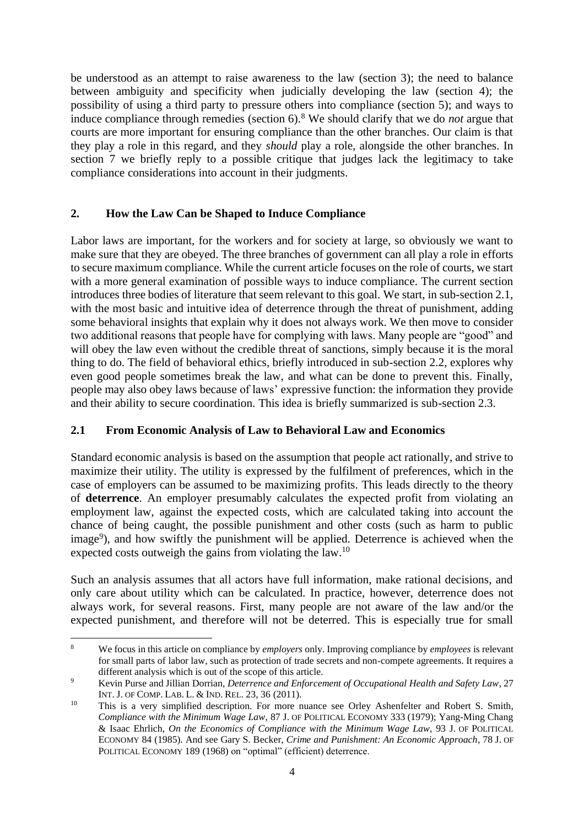be understood as an attempt to raise awareness to the law (section 3); the need to balance between ambiguity and specificity when judicially developing the law (section 4); the possibility of using a third party to pressure others into compliance (section 5); and ways to induce compliance through remedies (section 6).<sup>8</sup> We should clarify that we do *not* argue that courts are more important for ensuring compliance than the other branches. Our claim is that they play a role in this regard, and they *should* play a role, alongside the other branches. In section 7 we briefly reply to a possible critique that judges lack the legitimacy to take compliance considerations into account in their judgments.

## **2. How the Law Can be Shaped to Induce Compliance**

Labor laws are important, for the workers and for society at large, so obviously we want to make sure that they are obeyed. The three branches of government can all play a role in efforts to secure maximum compliance. While the current article focuses on the role of courts, we start with a more general examination of possible ways to induce compliance. The current section introduces three bodies of literature that seem relevant to this goal. We start, in sub-section 2.1, with the most basic and intuitive idea of deterrence through the threat of punishment, adding some behavioral insights that explain why it does not always work. We then move to consider two additional reasons that people have for complying with laws. Many people are "good" and will obey the law even without the credible threat of sanctions, simply because it is the moral thing to do. The field of behavioral ethics, briefly introduced in sub-section 2.2, explores why even good people sometimes break the law, and what can be done to prevent this. Finally, people may also obey laws because of laws' expressive function: the information they provide and their ability to secure coordination. This idea is briefly summarized is sub-section 2.3.

## **2.1 From Economic Analysis of Law to Behavioral Law and Economics**

Standard economic analysis is based on the assumption that people act rationally, and strive to maximize their utility. The utility is expressed by the fulfilment of preferences, which in the case of employers can be assumed to be maximizing profits. This leads directly to the theory of **deterrence**. An employer presumably calculates the expected profit from violating an employment law, against the expected costs, which are calculated taking into account the chance of being caught, the possible punishment and other costs (such as harm to public image<sup>9</sup>), and how swiftly the punishment will be applied. Deterrence is achieved when the expected costs outweigh the gains from violating the law.<sup>10</sup>

<span id="page-3-0"></span>Such an analysis assumes that all actors have full information, make rational decisions, and only care about utility which can be calculated. In practice, however, deterrence does not always work, for several reasons. First, many people are not aware of the law and/or the expected punishment, and therefore will not be deterred. This is especially true for small

<sup>8</sup> We focus in this article on compliance by *employers* only. Improving compliance by *employees* is relevant for small parts of labor law, such as protection of trade secrets and non-compete agreements. It requires a different analysis which is out of the scope of this article.

<sup>9</sup> Kevin Purse and Jillian Dorrian, *Deterrence and Enforcement of Occupational Health and Safety Law*, 27 INT. J. OF COMP. LAB. L. & IND. REL. 23, 36 (2011).

<sup>&</sup>lt;sup>10</sup> This is a very simplified description. For more nuance see Orley Ashenfelter and Robert S. Smith, *Compliance with the Minimum Wage Law*, 87 J. OF POLITICAL ECONOMY 333 (1979); Yang-Ming Chang & Isaac Ehrlich, *On the Economics of Compliance with the Minimum Wage Law*, 93 J. OF POLITICAL ECONOMY 84 (1985). And see Gary S. Becker, *Crime and Punishment: An Economic Approach*, 78 J. OF POLITICAL ECONOMY 189 (1968) on "optimal" (efficient) deterrence.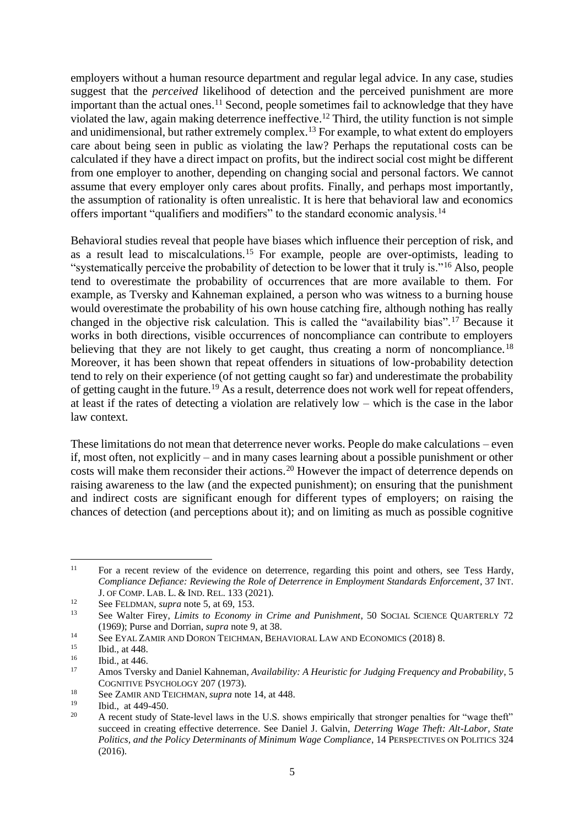<span id="page-4-1"></span>employers without a human resource department and regular legal advice. In any case, studies suggest that the *perceived* likelihood of detection and the perceived punishment are more important than the actual ones.<sup>11</sup> Second, people sometimes fail to acknowledge that they have violated the law, again making deterrence ineffective. <sup>12</sup> Third, the utility function is not simple and unidimensional, but rather extremely complex.<sup>13</sup> For example, to what extent do employers care about being seen in public as violating the law? Perhaps the reputational costs can be calculated if they have a direct impact on profits, but the indirect social cost might be different from one employer to another, depending on changing social and personal factors. We cannot assume that every employer only cares about profits. Finally, and perhaps most importantly, the assumption of rationality is often unrealistic. It is here that behavioral law and economics offers important "qualifiers and modifiers" to the standard economic analysis.<sup>14</sup>

<span id="page-4-0"></span>Behavioral studies reveal that people have biases which influence their perception of risk, and as a result lead to miscalculations.<sup>15</sup> For example, people are over-optimists, leading to "systematically perceive the probability of detection to be lower that it truly is."<sup>16</sup> Also, people tend to overestimate the probability of occurrences that are more available to them. For example, as Tversky and Kahneman explained, a person who was witness to a burning house would overestimate the probability of his own house catching fire, although nothing has really changed in the objective risk calculation. This is called the "availability bias".<sup>17</sup> Because it works in both directions, visible occurrences of noncompliance can contribute to employers believing that they are not likely to get caught, thus creating a norm of noncompliance.<sup>18</sup> Moreover, it has been shown that repeat offenders in situations of low-probability detection tend to rely on their experience (of not getting caught so far) and underestimate the probability of getting caught in the future.<sup>19</sup> As a result, deterrence does not work well for repeat offenders, at least if the rates of detecting a violation are relatively low – which is the case in the labor law context.

These limitations do not mean that deterrence never works. People do make calculations – even if, most often, not explicitly – and in many cases learning about a possible punishment or other costs will make them reconsider their actions.<sup>20</sup> However the impact of deterrence depends on raising awareness to the law (and the expected punishment); on ensuring that the punishment and indirect costs are significant enough for different types of employers; on raising the chances of detection (and perceptions about it); and on limiting as much as possible cognitive

<sup>&</sup>lt;sup>11</sup> For a recent review of the evidence on deterrence, regarding this point and others, see Tess Hardy, *Compliance Defiance: Reviewing the Role of Deterrence in Employment Standards Enforcement*, 37 INT. J. OF COMP. LAB. L. & IND. REL. 133 (2021).

<sup>12</sup> See FELDMAN, *supra* note [5,](#page-2-0) at 69, 153.

<sup>13</sup> See Walter Firey, *Limits to Economy in Crime and Punishment*, 50 SOCIAL SCIENCE QUARTERLY 72 (1969); Purse and Dorrian, *supra* note [9,](#page-3-0) at 38.

<sup>&</sup>lt;sup>14</sup> See EYAL ZAMIR AND DORON TEICHMAN, BEHAVIORAL LAW AND ECONOMICS (2018) 8.<br><sup>15</sup> Ibid. at 448

 $15$  Ibid., at 448.

 $\frac{16}{17}$  Ibid., at 446.

<sup>17</sup> Amos Tversky and Daniel Kahneman, *Availability: A Heuristic for Judging Frequency and Probability*, 5 COGNITIVE P[SYCHOLOGY](https://www.sciencedirect.com/science/journal/00100285) 207 (1973).

<sup>&</sup>lt;sup>18</sup> See ZAMIR AND TEICHMAN, *supra* not[e 14,](#page-4-0) at 448.

 $\frac{19}{20}$  Ibid., at 449-450.

<sup>20</sup> A recent study of State-level laws in the U.S. shows empirically that stronger penalties for "wage theft" succeed in creating effective deterrence. See Daniel J. Galvin, *Deterring Wage Theft: Alt-Labor, State Politics, and the Policy Determinants of Minimum Wage Compliance*, 14 PERSPECTIVES ON POLITICS 324 (2016).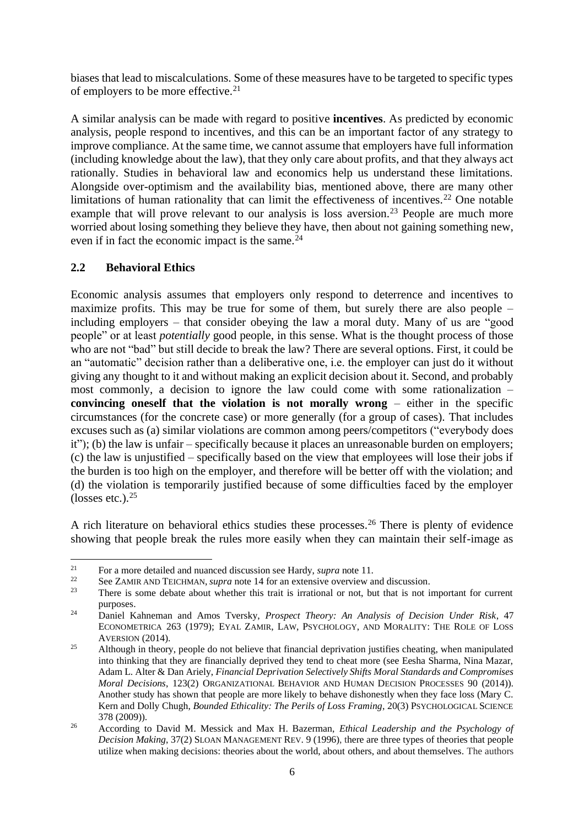biases that lead to miscalculations. Some of these measures have to be targeted to specific types of employers to be more effective.<sup>21</sup>

A similar analysis can be made with regard to positive **incentives**. As predicted by economic analysis, people respond to incentives, and this can be an important factor of any strategy to improve compliance. At the same time, we cannot assume that employers have full information (including knowledge about the law), that they only care about profits, and that they always act rationally. Studies in behavioral law and economics help us understand these limitations. Alongside over-optimism and the availability bias, mentioned above, there are many other limitations of human rationality that can limit the effectiveness of incentives.<sup>22</sup> One notable example that will prove relevant to our analysis is loss aversion.<sup>23</sup> People are much more worried about losing something they believe they have, then about not gaining something new, even if in fact the economic impact is the same.<sup>24</sup>

## **2.2 Behavioral Ethics**

Economic analysis assumes that employers only respond to deterrence and incentives to maximize profits. This may be true for some of them, but surely there are also people – including employers – that consider obeying the law a moral duty. Many of us are "good people" or at least *potentially* good people, in this sense. What is the thought process of those who are not "bad" but still decide to break the law? There are several options. First, it could be an "automatic" decision rather than a deliberative one, i.e. the employer can just do it without giving any thought to it and without making an explicit decision about it. Second, and probably most commonly, a decision to ignore the law could come with some rationalization – **convincing oneself that the violation is not morally wrong** – either in the specific circumstances (for the concrete case) or more generally (for a group of cases). That includes excuses such as (a) similar violations are common among peers/competitors ("everybody does it"); (b) the law is unfair – specifically because it places an unreasonable burden on employers; (c) the law is unjustified – specifically based on the view that employees will lose their jobs if the burden is too high on the employer, and therefore will be better off with the violation; and (d) the violation is temporarily justified because of some difficulties faced by the employer (losses etc.). $25$ 

A rich literature on behavioral ethics studies these processes.<sup>26</sup> There is plenty of evidence showing that people break the rules more easily when they can maintain their self-image as

<sup>&</sup>lt;sup>21</sup> For a more detailed and nuanced discussion see Hardy, *supra* note [11.](#page-4-1)

<sup>&</sup>lt;sup>22</sup> See ZAMIR AND TEICHMAN, *supra* not[e 14](#page-4-0) for an extensive overview and discussion.<br><sup>23</sup> There is some debate ebout whether this trait is irrational or not, but that is not i

There is some debate about whether this trait is irrational or not, but that is not important for current purposes.

<sup>24</sup> Daniel Kahneman and Amos Tversky, *Prospect Theory: An Analysis of Decision Under Risk*, 47 ECONOMETRICA 263 (1979); EYAL ZAMIR, LAW, PSYCHOLOGY, AND MORALITY: THE ROLE OF LOSS AVERSION (2014).

<sup>&</sup>lt;sup>25</sup> Although in theory, people do not believe that financial deprivation justifies cheating, when manipulated into thinking that they are financially deprived they tend to cheat more (see Eesha Sharma, Nina Mazar, Adam L. Alter & Dan Ariely, *Financial Deprivation Selectively Shifts Moral Standards and Compromises Moral Decisions*, 123(2) ORGANIZATIONAL BEHAVIOR AND HUMAN DECISION PROCESSES 90 (2014)). Another study has shown that people are more likely to behave dishonestly when they face loss (Mary C. Kern and Dolly Chugh, *Bounded Ethicality: The Perils of Loss Framing*, 20(3) PSYCHOLOGICAL SCIENCE 378 (2009)).

<sup>26</sup> According to David M. Messick and Max H. Bazerman, *Ethical Leadership and the Psychology of Decision Making*, 37(2) SLOAN MANAGEMENT REV. 9 (1996), there are three types of theories that people utilize when making decisions: theories about the world, about others, and about themselves. The authors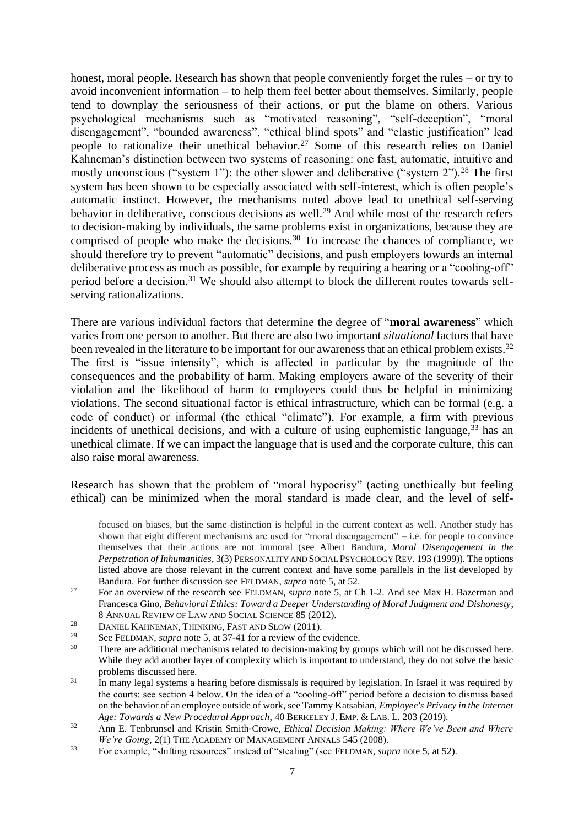honest, moral people. Research has shown that people conveniently forget the rules – or try to avoid inconvenient information – to help them feel better about themselves. Similarly, people tend to downplay the seriousness of their actions, or put the blame on others. Various psychological mechanisms such as "motivated reasoning", "self-deception", "moral disengagement", "bounded awareness", "ethical blind spots" and "elastic justification" lead people to rationalize their unethical behavior.<sup>27</sup> Some of this research relies on Daniel Kahneman's distinction between two systems of reasoning: one fast, automatic, intuitive and mostly unconscious ("system 1"); the other slower and deliberative ("system  $2$ ").<sup>28</sup> The first system has been shown to be especially associated with self-interest, which is often people's automatic instinct. However, the mechanisms noted above lead to unethical self-serving behavior in deliberative, conscious decisions as well.<sup>29</sup> And while most of the research refers to decision-making by individuals, the same problems exist in organizations, because they are comprised of people who make the decisions.<sup>30</sup> To increase the chances of compliance, we should therefore try to prevent "automatic" decisions, and push employers towards an internal deliberative process as much as possible, for example by requiring a hearing or a "cooling-off" period before a decision.<sup>31</sup> We should also attempt to block the different routes towards selfserving rationalizations.

There are various individual factors that determine the degree of "**moral awareness**" which varies from one person to another. But there are also two important *situational* factors that have been revealed in the literature to be important for our awareness that an ethical problem exists.<sup>32</sup> The first is "issue intensity", which is affected in particular by the magnitude of the consequences and the probability of harm. Making employers aware of the severity of their violation and the likelihood of harm to employees could thus be helpful in minimizing violations. The second situational factor is ethical infrastructure, which can be formal (e.g. a code of conduct) or informal (the ethical "climate"). For example, a firm with previous incidents of unethical decisions, and with a culture of using euphemistic language,<sup>33</sup> has an unethical climate. If we can impact the language that is used and the corporate culture, this can also raise moral awareness.

Research has shown that the problem of "moral hypocrisy" (acting unethically but feeling ethical) can be minimized when the moral standard is made clear, and the level of self-

focused on biases, but the same distinction is helpful in the current context as well. Another study has shown that eight different mechanisms are used for "moral disengagement" – i.e. for people to convince themselves that their actions are not immoral (see Albert Bandura, *Moral Disengagement in the Perpetration of Inhumanities*, 3(3) PERSONALITY AND SOCIAL PSYCHOLOGY REV. 193 (1999)). The options listed above are those relevant in the current context and have some parallels in the list developed by Bandura. For further discussion see FELDMAN, *supra* not[e 5,](#page-2-0) at 52.

<sup>&</sup>lt;sup>27</sup> For an overview of the research see FELDMAN, *supra* note [5,](#page-2-0) at Ch 1-2. And see Max H. Bazerman and Francesca Gino, *Behavioral Ethics: Toward a Deeper Understanding of Moral Judgment and Dishonesty*, 8 ANNUAL REVIEW OF LAW AND SOCIAL SCIENCE 85 (2012).

<sup>&</sup>lt;sup>28</sup> DANIEL KAHNEMAN, THINKING, FAST AND SLOW (2011).

<sup>&</sup>lt;sup>29</sup> See FELDMAN, *supra* note [5,](#page-2-0) at 37-41 for a review of the evidence.

There are additional mechanisms related to decision-making by groups which will not be discussed here. While they add another layer of complexity which is important to understand, they do not solve the basic problems discussed here.

<sup>31</sup> In many legal systems a hearing before dismissals is required by legislation. In Israel it was required by the courts; see section 4 below. On the idea of a "cooling-off" period before a decision to dismiss based on the behavior of an employee outside of work, see Tammy Katsabian, *Employee's Privacy in the Internet Age: Towards a New Procedural Approach*, 40 BERKELEY J. EMP. & LAB. L. 203 (2019).

<sup>32</sup> Ann E. Tenbrunsel and Kristin Smith‐Crowe, *Ethical Decision Making: Where We've Been and Where We're Going*, 2(1) THE ACADEMY OF MANAGEMENT ANNALS 545 (2008).

<sup>33</sup> For example, "shifting resources" instead of "stealing" (see FELDMAN, *supra* note [5,](#page-2-0) at 52).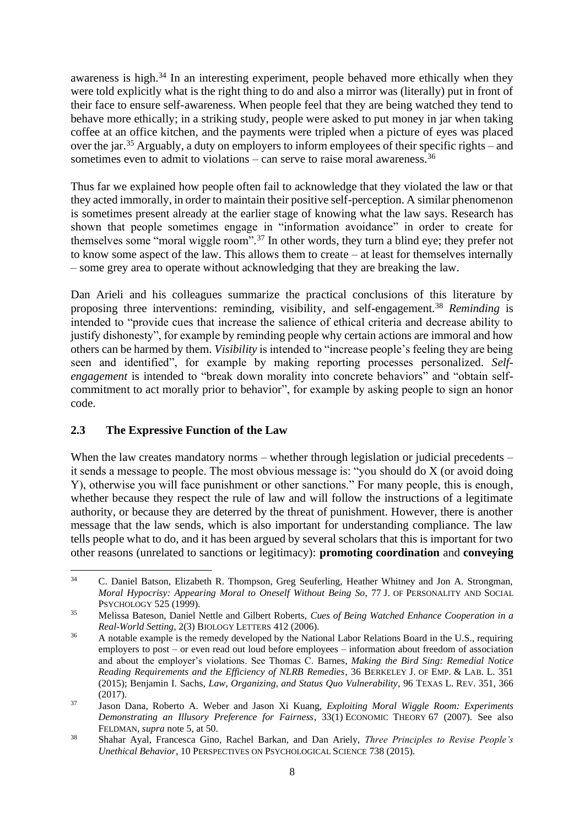awareness is high.<sup>34</sup> In an interesting experiment, people behaved more ethically when they were told explicitly what is the right thing to do and also a mirror was (literally) put in front of their face to ensure self-awareness. When people feel that they are being watched they tend to behave more ethically; in a striking study, people were asked to put money in jar when taking coffee at an office kitchen, and the payments were tripled when a picture of eyes was placed over the jar.<sup>35</sup> Arguably, a duty on employers to inform employees of their specific rights – and sometimes even to admit to violations – can serve to raise moral awareness.<sup>36</sup>

Thus far we explained how people often fail to acknowledge that they violated the law or that they acted immorally, in order to maintain their positive self-perception. A similar phenomenon is sometimes present already at the earlier stage of knowing what the law says. Research has shown that people sometimes engage in "information avoidance" in order to create for themselves some "moral wiggle room".<sup>37</sup> In other words, they turn a blind eye; they prefer not to know some aspect of the law. This allows them to create – at least for themselves internally – some grey area to operate without acknowledging that they are breaking the law.

Dan Arieli and his colleagues summarize the practical conclusions of this literature by proposing three interventions: reminding, visibility, and self-engagement.<sup>38</sup> *Reminding* is intended to "provide cues that increase the salience of ethical criteria and decrease ability to justify dishonesty", for example by reminding people why certain actions are immoral and how others can be harmed by them. *Visibility* is intended to "increase people's feeling they are being seen and identified", for example by making reporting processes personalized. *Selfengagement* is intended to "break down morality into concrete behaviors" and "obtain selfcommitment to act morally prior to behavior", for example by asking people to sign an honor code.

## **2.3 The Expressive Function of the Law**

When the law creates mandatory norms – whether through legislation or judicial precedents – it sends a message to people. The most obvious message is: "you should do X (or avoid doing Y), otherwise you will face punishment or other sanctions." For many people, this is enough, whether because they respect the rule of law and will follow the instructions of a legitimate authority, or because they are deterred by the threat of punishment. However, there is another message that the law sends, which is also important for understanding compliance. The law tells people what to do, and it has been argued by several scholars that this is important for two other reasons (unrelated to sanctions or legitimacy): **promoting coordination** and **conveying** 

<sup>34</sup> C. Daniel Batson, Elizabeth R. Thompson, Greg Seuferling, Heather Whitney and Jon A. Strongman, *Moral Hypocrisy: Appearing Moral to Oneself Without Being So*, 77 J. OF PERSONALITY AND SOCIAL PSYCHOLOGY 525 (1999).

<sup>35</sup> Melissa Bateson, Daniel Nettle and Gilbert Roberts, *Cues of Being Watched Enhance Cooperation in a Real-World Setting*, 2(3) BIOLOGY LETTERS 412 (2006).

<sup>&</sup>lt;sup>36</sup> A notable example is the remedy developed by the National Labor Relations Board in the U.S., requiring employers to post – or even read out loud before employees – information about freedom of association and about the employer's violations. See Thomas C. Barnes, *Making the Bird Sing: Remedial Notice Reading Requirements and the Efficiency of NLRB Remedies*, 36 BERKELEY J. OF EMP. & LAB. L. 351 (2015); Benjamin I. Sachs, *Law, Organizing, and Status Quo Vulnerability*, 96 TEXAS L. REV. 351, 366 (2017).

<sup>37</sup> Jason Dana, Roberto A. Weber and Jason Xi Kuang, *Exploiting Moral Wiggle Room: Experiments Demonstrating an Illusory Preference for Fairness*, 33(1) ECONOMIC THEORY 67 (2007). See also FELDMAN, *supra* note [5,](#page-2-0) at 50.

<sup>38</sup> Shahar Ayal, Francesca Gino, Rachel Barkan, and Dan Ariely, *Three Principles to Revise People's Unethical Behavior*, 10 PERSPECTIVES ON PSYCHOLOGICAL SCIENCE 738 (2015).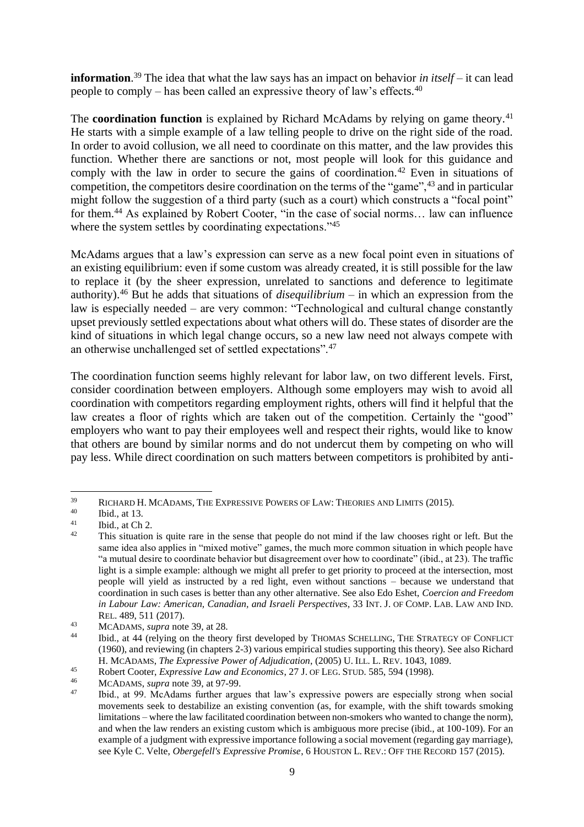<span id="page-8-0"></span>**information**. <sup>39</sup> The idea that what the law says has an impact on behavior *in itself* – it can lead people to comply – has been called an expressive theory of law's effects.<sup>40</sup>

The **coordination function** is explained by Richard McAdams by relying on game theory.<sup>41</sup> He starts with a simple example of a law telling people to drive on the right side of the road. In order to avoid collusion, we all need to coordinate on this matter, and the law provides this function. Whether there are sanctions or not, most people will look for this guidance and comply with the law in order to secure the gains of coordination.<sup>42</sup> Even in situations of competition, the competitors desire coordination on the terms of the "game",<sup>43</sup> and in particular might follow the suggestion of a third party (such as a court) which constructs a "focal point" for them.<sup>44</sup> As explained by Robert Cooter, "in the case of social norms... law can influence where the system settles by coordinating expectations."<sup>45</sup>

McAdams argues that a law's expression can serve as a new focal point even in situations of an existing equilibrium: even if some custom was already created, it is still possible for the law to replace it (by the sheer expression, unrelated to sanctions and deference to legitimate authority).<sup>46</sup> But he adds that situations of *disequilibrium* – in which an expression from the law is especially needed – are very common: "Technological and cultural change constantly upset previously settled expectations about what others will do. These states of disorder are the kind of situations in which legal change occurs, so a new law need not always compete with an otherwise unchallenged set of settled expectations".<sup>47</sup>

The coordination function seems highly relevant for labor law, on two different levels. First, consider coordination between employers. Although some employers may wish to avoid all coordination with competitors regarding employment rights, others will find it helpful that the law creates a floor of rights which are taken out of the competition. Certainly the "good" employers who want to pay their employees well and respect their rights, would like to know that others are bound by similar norms and do not undercut them by competing on who will pay less. While direct coordination on such matters between competitors is prohibited by anti-

 $^{39}$  RICHARD H. MCADAMS, THE EXPRESSIVE POWERS OF LAW: THEORIES AND LIMITS (2015).

 $^{40}$  Ibid., at 13.

 $\frac{41}{42}$  Ibid., at Ch 2.

This situation is quite rare in the sense that people do not mind if the law chooses right or left. But the same idea also applies in "mixed motive" games, the much more common situation in which people have "a mutual desire to coordinate behavior but disagreement over how to coordinate" (ibid., at 23). The traffic light is a simple example: although we might all prefer to get priority to proceed at the intersection, most people will yield as instructed by a red light, even without sanctions – because we understand that coordination in such cases is better than any other alternative. See also Edo Eshet, *Coercion and Freedom in Labour Law: American, Canadian, and Israeli Perspectives*, 33 INT. J. OF COMP. LAB. LAW AND IND. REL. 489, 511 (2017).

<sup>43</sup> MCADAMS, *supra* note [39,](#page-8-0) at 28.

<sup>44</sup> Ibid., at 44 (relying on the theory first developed by THOMAS SCHELLING, THE STRATEGY OF CONFLICT (1960), and reviewing (in chapters 2-3) various empirical studies supporting this theory). See also Richard H. MCADAMS, *The Expressive Power of Adjudication*, (2005) U. ILL. L. REV. 1043, 1089.

<sup>45</sup> Robert Cooter, *Expressive Law and Economics*, 27 J. OF LEG. STUD. 585, 594 (1998).

<sup>46</sup> MCADAMS, *supra* note [39,](#page-8-0) at 97-99.

<sup>47</sup> Ibid., at 99. McAdams further argues that law's expressive powers are especially strong when social movements seek to destabilize an existing convention (as, for example, with the shift towards smoking limitations – where the law facilitated coordination between non-smokers who wanted to change the norm), and when the law renders an existing custom which is ambiguous more precise (ibid., at 100-109). For an example of a judgment with expressive importance following a social movement (regarding gay marriage), see Kyle C. Velte, *Obergefell's Expressive Promise*, 6 HOUSTON L. REV.: OFF THE RECORD 157 (2015).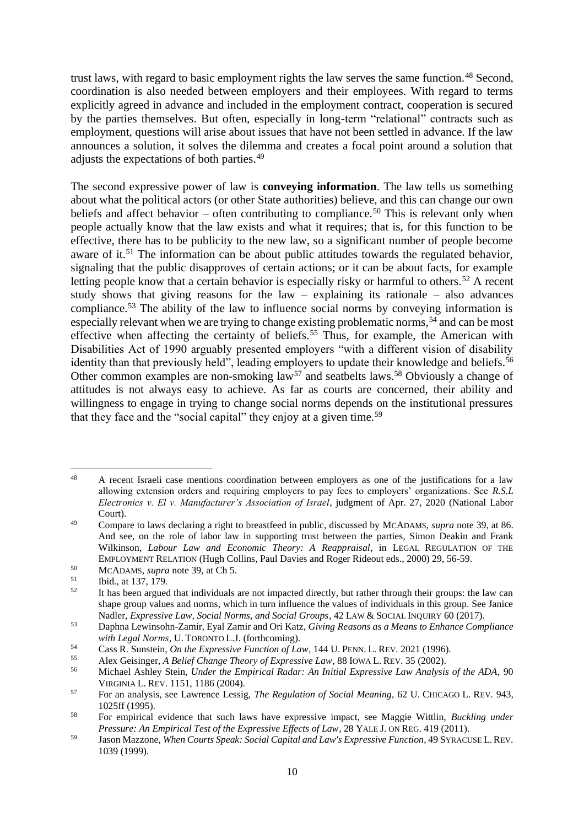trust laws, with regard to basic employment rights the law serves the same function.<sup>48</sup> Second, coordination is also needed between employers and their employees. With regard to terms explicitly agreed in advance and included in the employment contract, cooperation is secured by the parties themselves. But often, especially in long-term "relational" contracts such as employment, questions will arise about issues that have not been settled in advance. If the law announces a solution, it solves the dilemma and creates a focal point around a solution that adjusts the expectations of both parties.<sup>49</sup>

The second expressive power of law is **conveying information**. The law tells us something about what the political actors (or other State authorities) believe, and this can change our own beliefs and affect behavior – often contributing to compliance.<sup>50</sup> This is relevant only when people actually know that the law exists and what it requires; that is, for this function to be effective, there has to be publicity to the new law, so a significant number of people become aware of it.<sup>51</sup> The information can be about public attitudes towards the regulated behavior, signaling that the public disapproves of certain actions; or it can be about facts, for example letting people know that a certain behavior is especially risky or harmful to others.<sup>52</sup> A recent study shows that giving reasons for the law – explaining its rationale – also advances compliance.<sup>53</sup> The ability of the law to influence social norms by conveying information is especially relevant when we are trying to change existing problematic norms,<sup>54</sup> and can be most effective when affecting the certainty of beliefs.<sup>55</sup> Thus, for example, the American with Disabilities Act of 1990 arguably presented employers "with a different vision of disability identity than that previously held", leading employers to update their knowledge and beliefs.<sup>56</sup> Other common examples are non-smoking law<sup>57</sup> and seatbelts laws.<sup>58</sup> Obviously a change of attitudes is not always easy to achieve. As far as courts are concerned, their ability and willingness to engage in trying to change social norms depends on the institutional pressures that they face and the "social capital" they enjoy at a given time.<sup>59</sup>

<span id="page-9-0"></span><sup>&</sup>lt;sup>48</sup> A recent Israeli case mentions coordination between employers as one of the justifications for a law allowing extension orders and requiring employers to pay fees to employers' organizations. See *R.S.L Electronics v. El v. Manufacturer's Association of Israel*, judgment of Apr. 27, 2020 (National Labor Court).

<sup>49</sup> Compare to laws declaring a right to breastfeed in public, discussed by MCADAMS, *supra* note [39,](#page-8-0) at 86. And see, on the role of labor law in supporting trust between the parties, Simon Deakin and Frank Wilkinson, *Labour Law and Economic Theory: A Reappraisal*, in LEGAL REGULATION OF THE EMPLOYMENT RELATION (Hugh Collins, Paul Davies and Roger Rideout eds., 2000) 29, 56-59.

<sup>&</sup>lt;sup>50</sup> MCADAMS, *supra* note [39,](#page-8-0) at Ch 5.

 $\begin{array}{ll}\n\text{51} \\
\text{52} \\
\text{53} \\
\text{54} \\
\text{555}\n\end{array}$ 

It has been argued that individuals are not impacted directly, but rather through their groups: the law can shape group values and norms, which in turn influence the values of individuals in this group. See Janice Nadler, *Expressive Law, Social Norms, and Social Groups*, 42 LAW & SOCIAL INQUIRY 60 (2017).

<sup>53</sup> Daphna Lewinsohn-Zamir, Eyal Zamir and Ori Katz, *Giving Reasons as a Means to Enhance Compliance with Legal Norms*, U. TORONTO L.J. (forthcoming).

<sup>54</sup> Cass R. Sunstein, *On the Expressive Function of Law*, 144 U.PENN. L. REV. 2021 (1996).

<sup>55</sup> Alex Geisinger, *A Belief Change Theory of Expressive Law*, 88 IOWA L. REV. 35 (2002).

<sup>56</sup> Michael Ashley Stein, *Under the Empirical Radar: An Initial Expressive Law Analysis of the ADA*, 90 VIRGINIA L. REV. 1151, 1186 (2004).

<sup>57</sup> For an analysis, see Lawrence Lessig, *The Regulation of Social Meaning*, 62 U. CHICAGO L. REV. 943, 1025ff (1995).

<sup>58</sup> For empirical evidence that such laws have expressive impact, see Maggie Wittlin, *Buckling under Pressure: An Empirical Test of the Expressive Effects of Law*, 28 YALE J. ON REG. 419 (2011).

<sup>59</sup> Jason Mazzone, *When Courts Speak: Social Capital and Law's Expressive Function*, 49 SYRACUSE L.REV. 1039 (1999).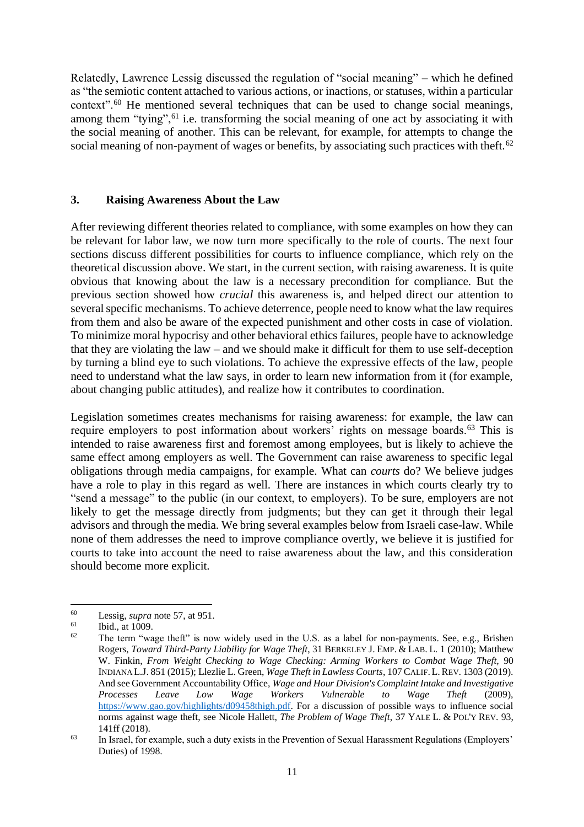Relatedly, Lawrence Lessig discussed the regulation of "social meaning" – which he defined as "the semiotic content attached to various actions, or inactions, or statuses, within a particular context".<sup>60</sup> He mentioned several techniques that can be used to change social meanings, among them "tying",<sup>61</sup> i.e. transforming the social meaning of one act by associating it with the social meaning of another. This can be relevant, for example, for attempts to change the social meaning of non-payment of wages or benefits, by associating such practices with theft.<sup>62</sup>

#### **3. Raising Awareness About the Law**

After reviewing different theories related to compliance, with some examples on how they can be relevant for labor law, we now turn more specifically to the role of courts. The next four sections discuss different possibilities for courts to influence compliance, which rely on the theoretical discussion above. We start, in the current section, with raising awareness. It is quite obvious that knowing about the law is a necessary precondition for compliance. But the previous section showed how *crucial* this awareness is, and helped direct our attention to several specific mechanisms. To achieve deterrence, people need to know what the law requires from them and also be aware of the expected punishment and other costs in case of violation. To minimize moral hypocrisy and other behavioral ethics failures, people have to acknowledge that they are violating the law – and we should make it difficult for them to use self-deception by turning a blind eye to such violations. To achieve the expressive effects of the law, people need to understand what the law says, in order to learn new information from it (for example, about changing public attitudes), and realize how it contributes to coordination.

Legislation sometimes creates mechanisms for raising awareness: for example, the law can require employers to post information about workers' rights on message boards.<sup>63</sup> This is intended to raise awareness first and foremost among employees, but is likely to achieve the same effect among employers as well. The Government can raise awareness to specific legal obligations through media campaigns, for example. What can *courts* do? We believe judges have a role to play in this regard as well. There are instances in which courts clearly try to "send a message" to the public (in our context, to employers). To be sure, employers are not likely to get the message directly from judgments; but they can get it through their legal advisors and through the media. We bring several examples below from Israeli case-law. While none of them addresses the need to improve compliance overtly, we believe it is justified for courts to take into account the need to raise awareness about the law, and this consideration should become more explicit.

<sup>60</sup> Lessig, *supra* not[e 57,](#page-9-0) at 951.

 $^{61}$  Ibid., at 1009.

The term "wage theft" is now widely used in the U.S. as a label for non-payments. See, e.g., Brishen Rogers, *Toward Third-Party Liability for Wage Theft*, 31 BERKELEY J. EMP. & LAB. L. 1 (2010); Matthew W. Finkin, *From Weight Checking to Wage Checking: Arming Workers to Combat Wage Theft,* 90 INDIANA L.J. 851 (2015); Llezlie L. Green, *Wage Theft in Lawless Courts*, 107 CALIF.L.REV. 1303 (2019). And see Government Accountability Office, *Wage and Hour Division's Complaint Intake and Investigative Processes Leave Low Wage Workers Vulnerable to Wage Theft* (2009), [https://www.gao.gov/highlights/d09458thigh.pdf.](https://www.gao.gov/highlights/d09458thigh.pdf) For a discussion of possible ways to influence social norms against wage theft, see Nicole Hallett, *The Problem of Wage Theft*, 37 YALE L. & POL'Y REV. 93, 141ff (2018).

<sup>&</sup>lt;sup>63</sup> In Israel, for example, such a duty exists in the Prevention of Sexual Harassment Regulations (Employers' Duties) of 1998.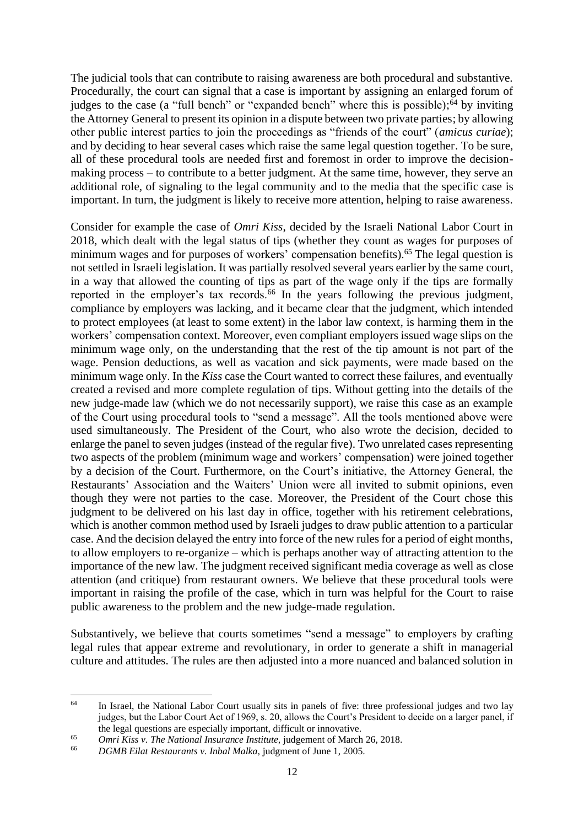The judicial tools that can contribute to raising awareness are both procedural and substantive. Procedurally, the court can signal that a case is important by assigning an enlarged forum of judges to the case (a "full bench" or "expanded bench" where this is possible);<sup>64</sup> by inviting the Attorney General to present its opinion in a dispute between two private parties; by allowing other public interest parties to join the proceedings as "friends of the court" (*amicus curiae*); and by deciding to hear several cases which raise the same legal question together. To be sure, all of these procedural tools are needed first and foremost in order to improve the decisionmaking process – to contribute to a better judgment. At the same time, however, they serve an additional role, of signaling to the legal community and to the media that the specific case is important. In turn, the judgment is likely to receive more attention, helping to raise awareness.

Consider for example the case of *Omri Kiss*, decided by the Israeli National Labor Court in 2018, which dealt with the legal status of tips (whether they count as wages for purposes of minimum wages and for purposes of workers' compensation benefits).<sup>65</sup> The legal question is not settled in Israeli legislation. It was partially resolved several years earlier by the same court, in a way that allowed the counting of tips as part of the wage only if the tips are formally reported in the employer's tax records.<sup>66</sup> In the years following the previous judgment, compliance by employers was lacking, and it became clear that the judgment, which intended to protect employees (at least to some extent) in the labor law context, is harming them in the workers' compensation context. Moreover, even compliant employers issued wage slips on the minimum wage only, on the understanding that the rest of the tip amount is not part of the wage. Pension deductions, as well as vacation and sick payments, were made based on the minimum wage only. In the *Kiss* case the Court wanted to correct these failures, and eventually created a revised and more complete regulation of tips. Without getting into the details of the new judge-made law (which we do not necessarily support), we raise this case as an example of the Court using procedural tools to "send a message". All the tools mentioned above were used simultaneously. The President of the Court, who also wrote the decision, decided to enlarge the panel to seven judges (instead of the regular five). Two unrelated cases representing two aspects of the problem (minimum wage and workers' compensation) were joined together by a decision of the Court. Furthermore, on the Court's initiative, the Attorney General, the Restaurants' Association and the Waiters' Union were all invited to submit opinions, even though they were not parties to the case. Moreover, the President of the Court chose this judgment to be delivered on his last day in office, together with his retirement celebrations, which is another common method used by Israeli judges to draw public attention to a particular case. And the decision delayed the entry into force of the new rules for a period of eight months, to allow employers to re-organize – which is perhaps another way of attracting attention to the importance of the new law. The judgment received significant media coverage as well as close attention (and critique) from restaurant owners. We believe that these procedural tools were important in raising the profile of the case, which in turn was helpful for the Court to raise public awareness to the problem and the new judge-made regulation.

Substantively, we believe that courts sometimes "send a message" to employers by crafting legal rules that appear extreme and revolutionary, in order to generate a shift in managerial culture and attitudes. The rules are then adjusted into a more nuanced and balanced solution in

<sup>&</sup>lt;sup>64</sup> In Israel, the National Labor Court usually sits in panels of five: three professional judges and two lay judges, but the Labor Court Act of 1969, s. 20, allows the Court's President to decide on a larger panel, if the legal questions are especially important, difficult or innovative.

<sup>65</sup> *Omri Kiss v. The National Insurance Institute,* judgement of March 26, 2018.

<sup>66</sup> *DGMB Eilat Restaurants v. Inbal Malka,* judgment of June 1, 2005.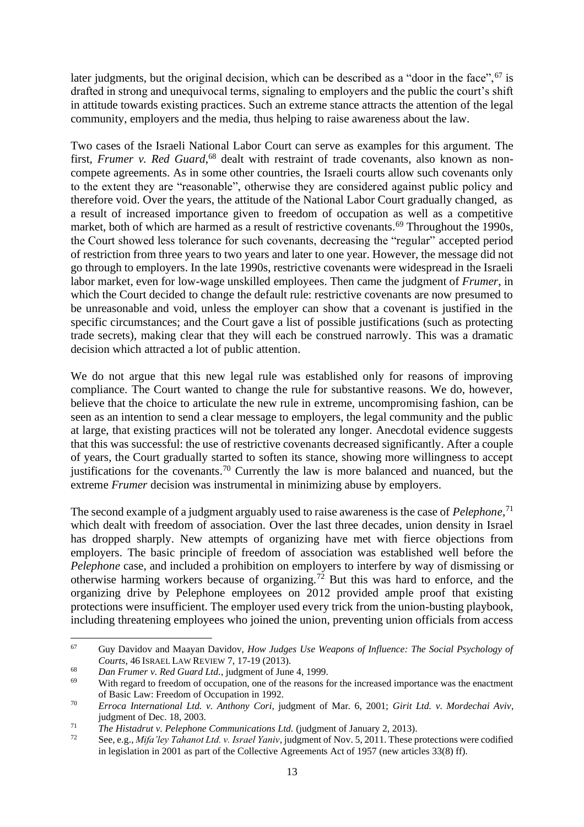later judgments, but the original decision, which can be described as a "door in the face", <sup>67</sup> is drafted in strong and unequivocal terms, signaling to employers and the public the court's shift in attitude towards existing practices. Such an extreme stance attracts the attention of the legal community, employers and the media, thus helping to raise awareness about the law.

Two cases of the Israeli National Labor Court can serve as examples for this argument. The first, *Frumer v. Red Guard*,<sup>68</sup> dealt with restraint of trade covenants, also known as noncompete agreements. As in some other countries, the Israeli courts allow such covenants only to the extent they are "reasonable", otherwise they are considered against public policy and therefore void. Over the years, the attitude of the National Labor Court gradually changed, as a result of increased importance given to freedom of occupation as well as a competitive market, both of which are harmed as a result of restrictive covenants.<sup>69</sup> Throughout the 1990s, the Court showed less tolerance for such covenants, decreasing the "regular" accepted period of restriction from three years to two years and later to one year. However, the message did not go through to employers. In the late 1990s, restrictive covenants were widespread in the Israeli labor market, even for low-wage unskilled employees. Then came the judgment of *Frumer*, in which the Court decided to change the default rule: restrictive covenants are now presumed to be unreasonable and void, unless the employer can show that a covenant is justified in the specific circumstances; and the Court gave a list of possible justifications (such as protecting trade secrets), making clear that they will each be construed narrowly. This was a dramatic decision which attracted a lot of public attention.

We do not argue that this new legal rule was established only for reasons of improving compliance. The Court wanted to change the rule for substantive reasons. We do, however, believe that the choice to articulate the new rule in extreme, uncompromising fashion, can be seen as an intention to send a clear message to employers, the legal community and the public at large, that existing practices will not be tolerated any longer. Anecdotal evidence suggests that this was successful: the use of restrictive covenants decreased significantly. After a couple of years, the Court gradually started to soften its stance, showing more willingness to accept justifications for the covenants.<sup>70</sup> Currently the law is more balanced and nuanced, but the extreme *Frumer* decision was instrumental in minimizing abuse by employers.

The second example of a judgment arguably used to raise awareness is the case of *Pelephone*, 71 which dealt with freedom of association. Over the last three decades, union density in Israel has dropped sharply. New attempts of organizing have met with fierce objections from employers. The basic principle of freedom of association was established well before the *Pelephone* case, and included a prohibition on employers to interfere by way of dismissing or otherwise harming workers because of organizing.<sup>72</sup> But this was hard to enforce, and the organizing drive by Pelephone employees on 2012 provided ample proof that existing protections were insufficient. The employer used every trick from the union-busting playbook, including threatening employees who joined the union, preventing union officials from access

<sup>67</sup> Guy Davidov and Maayan Davidov, *How Judges Use Weapons of Influence: The Social Psychology of Courts*, 46 ISRAEL LAW REVIEW 7, 17-19 (2013).

<sup>68</sup> *Dan Frumer v. Red Guard Ltd.*, judgment of June 4, 1999.

With regard to freedom of occupation, one of the reasons for the increased importance was the enactment of Basic Law: Freedom of Occupation in 1992.

<sup>70</sup> *Erroca International Ltd. v. Anthony Cori*, judgment of Mar. 6, 2001; *Girit Ltd. v. Mordechai Aviv*, judgment of Dec. 18, 2003.

<sup>71</sup> *The Histadrut v. Pelephone Communications Ltd.* (judgment of January 2, 2013).

<sup>72</sup> See, e.g., *Mifa'ley Tahanot Ltd. v. Israel Yaniv*, judgment of Nov. 5, 2011. These protections were codified in legislation in 2001 as part of the Collective Agreements Act of 1957 (new articles 33(8) ff).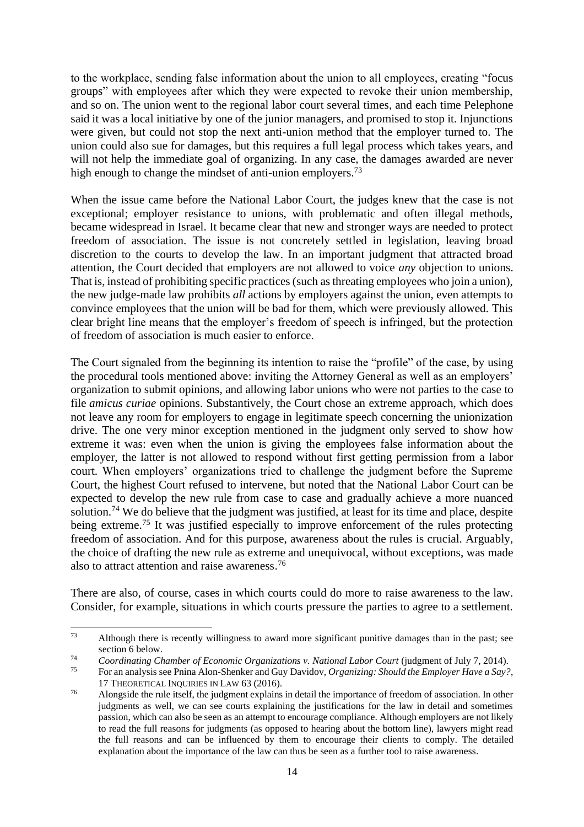to the workplace, sending false information about the union to all employees, creating "focus groups" with employees after which they were expected to revoke their union membership, and so on. The union went to the regional labor court several times, and each time Pelephone said it was a local initiative by one of the junior managers, and promised to stop it. Injunctions were given, but could not stop the next anti-union method that the employer turned to. The union could also sue for damages, but this requires a full legal process which takes years, and will not help the immediate goal of organizing. In any case, the damages awarded are never high enough to change the mindset of anti-union employers.<sup>73</sup>

When the issue came before the National Labor Court, the judges knew that the case is not exceptional; employer resistance to unions, with problematic and often illegal methods, became widespread in Israel. It became clear that new and stronger ways are needed to protect freedom of association. The issue is not concretely settled in legislation, leaving broad discretion to the courts to develop the law. In an important judgment that attracted broad attention, the Court decided that employers are not allowed to voice *any* objection to unions. That is, instead of prohibiting specific practices (such as threating employees who join a union), the new judge-made law prohibits *all* actions by employers against the union, even attempts to convince employees that the union will be bad for them, which were previously allowed. This clear bright line means that the employer's freedom of speech is infringed, but the protection of freedom of association is much easier to enforce.

The Court signaled from the beginning its intention to raise the "profile" of the case, by using the procedural tools mentioned above: inviting the Attorney General as well as an employers' organization to submit opinions, and allowing labor unions who were not parties to the case to file *amicus curiae* opinions. Substantively, the Court chose an extreme approach, which does not leave any room for employers to engage in legitimate speech concerning the unionization drive. The one very minor exception mentioned in the judgment only served to show how extreme it was: even when the union is giving the employees false information about the employer, the latter is not allowed to respond without first getting permission from a labor court. When employers' organizations tried to challenge the judgment before the Supreme Court, the highest Court refused to intervene, but noted that the National Labor Court can be expected to develop the new rule from case to case and gradually achieve a more nuanced solution.<sup>74</sup> We do believe that the judgment was justified, at least for its time and place, despite being extreme.<sup>75</sup> It was justified especially to improve enforcement of the rules protecting freedom of association. And for this purpose, awareness about the rules is crucial. Arguably, the choice of drafting the new rule as extreme and unequivocal, without exceptions, was made also to attract attention and raise awareness. 76

There are also, of course, cases in which courts could do more to raise awareness to the law. Consider, for example, situations in which courts pressure the parties to agree to a settlement.

<sup>&</sup>lt;sup>73</sup> Although there is recently willingness to award more significant punitive damages than in the past; see section 6 below.

<sup>&</sup>lt;sup>74</sup> *Coordinating Chamber of Economic Organizations v. National Labor Court* (judgment of July 7, 2014).<br><sup>75</sup> For an analysis see Princ Alon Shankar and Guy Daviday. Organizing: Shayld the Employer Haye a Say?

<sup>75</sup> For an analysis see Pnina Alon-Shenker and Guy Davidov, *Organizing: Should the Employer Have a Say?*, 17 THEORETICAL INQUIRIES IN LAW 63 (2016).

<sup>76</sup> Alongside the rule itself, the judgment explains in detail the importance of freedom of association. In other judgments as well, we can see courts explaining the justifications for the law in detail and sometimes passion, which can also be seen as an attempt to encourage compliance. Although employers are not likely to read the full reasons for judgments (as opposed to hearing about the bottom line), lawyers might read the full reasons and can be influenced by them to encourage their clients to comply. The detailed explanation about the importance of the law can thus be seen as a further tool to raise awareness.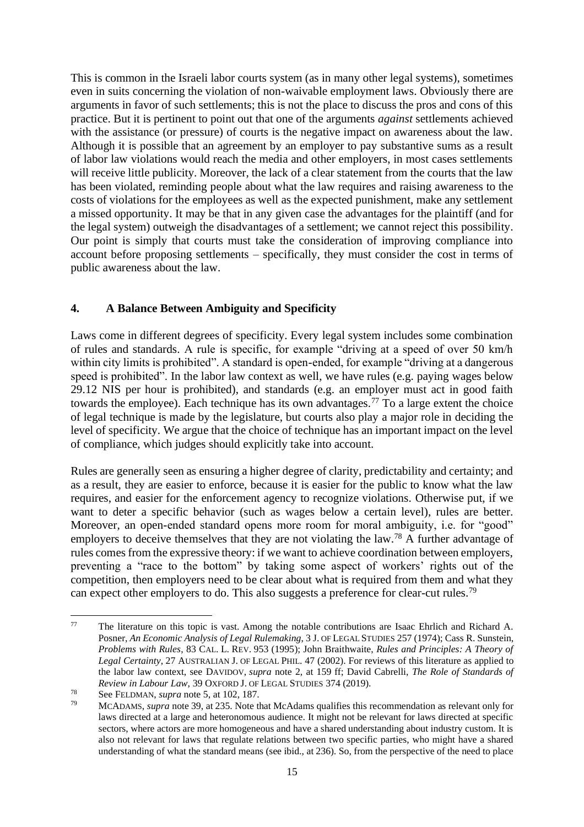This is common in the Israeli labor courts system (as in many other legal systems), sometimes even in suits concerning the violation of non-waivable employment laws. Obviously there are arguments in favor of such settlements; this is not the place to discuss the pros and cons of this practice. But it is pertinent to point out that one of the arguments *against* settlements achieved with the assistance (or pressure) of courts is the negative impact on awareness about the law. Although it is possible that an agreement by an employer to pay substantive sums as a result of labor law violations would reach the media and other employers, in most cases settlements will receive little publicity. Moreover, the lack of a clear statement from the courts that the law has been violated, reminding people about what the law requires and raising awareness to the costs of violations for the employees as well as the expected punishment, make any settlement a missed opportunity. It may be that in any given case the advantages for the plaintiff (and for the legal system) outweigh the disadvantages of a settlement; we cannot reject this possibility. Our point is simply that courts must take the consideration of improving compliance into account before proposing settlements – specifically, they must consider the cost in terms of public awareness about the law.

# **4. A Balance Between Ambiguity and Specificity**

Laws come in different degrees of specificity. Every legal system includes some combination of rules and standards. A rule is specific, for example "driving at a speed of over 50 km/h within city limits is prohibited". A standard is open-ended, for example "driving at a dangerous" speed is prohibited". In the labor law context as well, we have rules (e.g. paying wages below 29.12 NIS per hour is prohibited), and standards (e.g. an employer must act in good faith towards the employee). Each technique has its own advantages.<sup>77</sup> To a large extent the choice of legal technique is made by the legislature, but courts also play a major role in deciding the level of specificity. We argue that the choice of technique has an important impact on the level of compliance, which judges should explicitly take into account.

Rules are generally seen as ensuring a higher degree of clarity, predictability and certainty; and as a result, they are easier to enforce, because it is easier for the public to know what the law requires, and easier for the enforcement agency to recognize violations. Otherwise put, if we want to deter a specific behavior (such as wages below a certain level), rules are better. Moreover, an open-ended standard opens more room for moral ambiguity, i.e. for "good" employers to deceive themselves that they are not violating the law.<sup>78</sup> A further advantage of rules comes from the expressive theory: if we want to achieve coordination between employers, preventing a "race to the bottom" by taking some aspect of workers' rights out of the competition, then employers need to be clear about what is required from them and what they can expect other employers to do. This also suggests a preference for clear-cut rules.<sup>79</sup>

<sup>77</sup> The literature on this topic is vast. Among the notable contributions are Isaac Ehrlich and Richard A. Posner, *An Economic Analysis of Legal Rulemaking*, 3 J. OF LEGAL STUDIES 257 (1974); Cass R. Sunstein, *Problems with Rules*, 83 CAL. L. REV. 953 (1995); John Braithwaite, *Rules and Principles: A Theory of Legal Certainty*, 27 AUSTRALIAN J. OF LEGAL PHIL. 47 (2002). For reviews of this literature as applied to the labor law context, see DAVIDOV, *supra* note [2,](#page-0-0) at 159 ff; David Cabrelli, *The Role of Standards of Review in Labour Law,* 39 OXFORD J. OF LEGAL STUDIES 374 (2019).

<sup>78</sup> See FELDMAN, *supra* note [5,](#page-2-0) at 102, 187.

<sup>79</sup> MCADAMS, *supra* not[e 39,](#page-8-0) at 235. Note that McAdams qualifies this recommendation as relevant only for laws directed at a large and heteronomous audience. It might not be relevant for laws directed at specific sectors, where actors are more homogeneous and have a shared understanding about industry custom. It is also not relevant for laws that regulate relations between two specific parties, who might have a shared understanding of what the standard means (see ibid., at 236). So, from the perspective of the need to place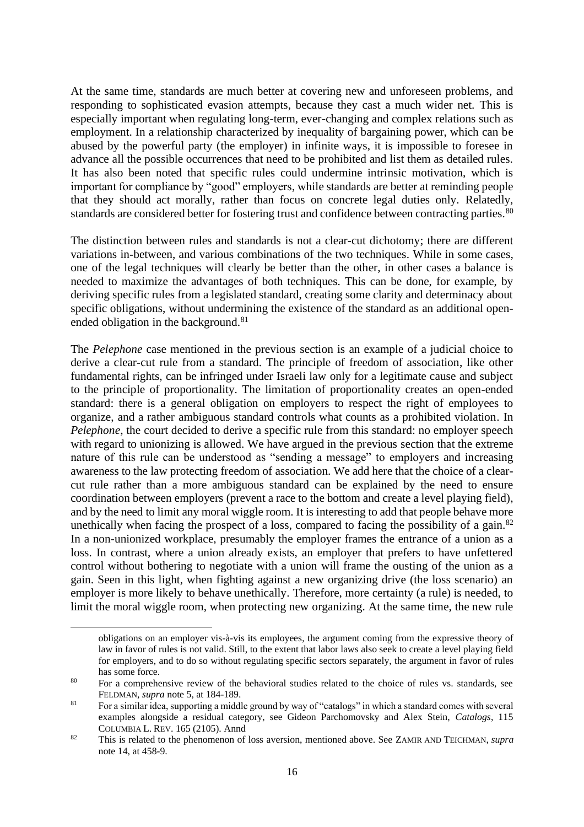At the same time, standards are much better at covering new and unforeseen problems, and responding to sophisticated evasion attempts, because they cast a much wider net. This is especially important when regulating long-term, ever-changing and complex relations such as employment. In a relationship characterized by inequality of bargaining power, which can be abused by the powerful party (the employer) in infinite ways, it is impossible to foresee in advance all the possible occurrences that need to be prohibited and list them as detailed rules. It has also been noted that specific rules could undermine intrinsic motivation, which is important for compliance by "good" employers, while standards are better at reminding people that they should act morally, rather than focus on concrete legal duties only. Relatedly, standards are considered better for fostering trust and confidence between contracting parties.<sup>80</sup>

The distinction between rules and standards is not a clear-cut dichotomy; there are different variations in-between, and various combinations of the two techniques. While in some cases, one of the legal techniques will clearly be better than the other, in other cases a balance is needed to maximize the advantages of both techniques. This can be done, for example, by deriving specific rules from a legislated standard, creating some clarity and determinacy about specific obligations, without undermining the existence of the standard as an additional openended obligation in the background.<sup>81</sup>

The *Pelephone* case mentioned in the previous section is an example of a judicial choice to derive a clear-cut rule from a standard. The principle of freedom of association, like other fundamental rights, can be infringed under Israeli law only for a legitimate cause and subject to the principle of proportionality. The limitation of proportionality creates an open-ended standard: there is a general obligation on employers to respect the right of employees to organize, and a rather ambiguous standard controls what counts as a prohibited violation. In *Pelephone*, the court decided to derive a specific rule from this standard: no employer speech with regard to unionizing is allowed. We have argued in the previous section that the extreme nature of this rule can be understood as "sending a message" to employers and increasing awareness to the law protecting freedom of association. We add here that the choice of a clearcut rule rather than a more ambiguous standard can be explained by the need to ensure coordination between employers (prevent a race to the bottom and create a level playing field), and by the need to limit any moral wiggle room. It is interesting to add that people behave more unethically when facing the prospect of a loss, compared to facing the possibility of a gain. $82$ In a non-unionized workplace, presumably the employer frames the entrance of a union as a loss. In contrast, where a union already exists, an employer that prefers to have unfettered control without bothering to negotiate with a union will frame the ousting of the union as a gain. Seen in this light, when fighting against a new organizing drive (the loss scenario) an employer is more likely to behave unethically. Therefore, more certainty (a rule) is needed, to limit the moral wiggle room, when protecting new organizing. At the same time, the new rule

obligations on an employer vis-à-vis its employees, the argument coming from the expressive theory of law in favor of rules is not valid. Still, to the extent that labor laws also seek to create a level playing field for employers, and to do so without regulating specific sectors separately, the argument in favor of rules has some force.

<sup>&</sup>lt;sup>80</sup> For a comprehensive review of the behavioral studies related to the choice of rules vs. standards, see FELDMAN, *supra* note [5,](#page-2-0) at 184-189.

<sup>&</sup>lt;sup>81</sup> For a similar idea, supporting a middle ground by way of "catalogs" in which a standard comes with several examples alongside a residual category, see Gideon Parchomovsky and Alex Stein, *Catalogs*, 115 COLUMBIA L. REV. 165 (2105). Annd

<sup>82</sup> This is related to the phenomenon of loss aversion, mentioned above. See ZAMIR AND TEICHMAN, *supra* note [14,](#page-4-0) at 458-9.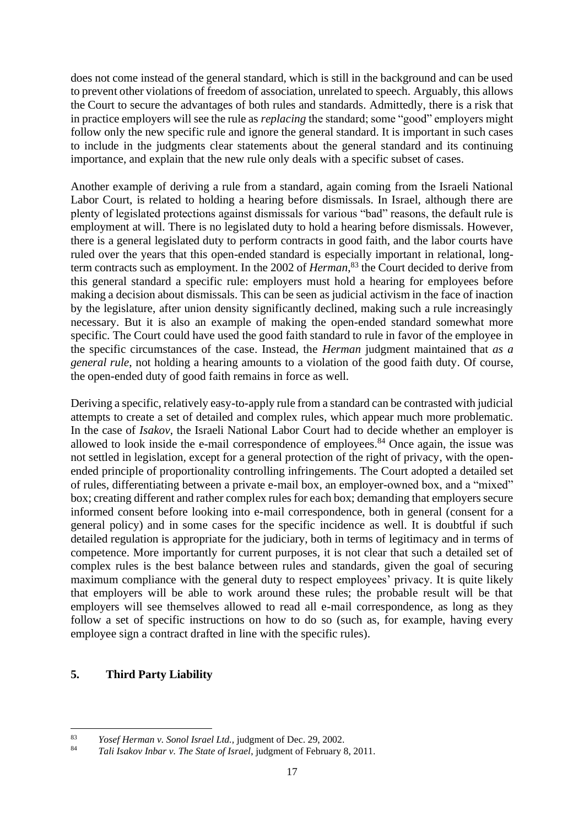does not come instead of the general standard, which is still in the background and can be used to prevent other violations of freedom of association, unrelated to speech. Arguably, this allows the Court to secure the advantages of both rules and standards. Admittedly, there is a risk that in practice employers will see the rule as *replacing* the standard; some "good" employers might follow only the new specific rule and ignore the general standard. It is important in such cases to include in the judgments clear statements about the general standard and its continuing importance, and explain that the new rule only deals with a specific subset of cases.

Another example of deriving a rule from a standard, again coming from the Israeli National Labor Court, is related to holding a hearing before dismissals. In Israel, although there are plenty of legislated protections against dismissals for various "bad" reasons, the default rule is employment at will. There is no legislated duty to hold a hearing before dismissals. However, there is a general legislated duty to perform contracts in good faith, and the labor courts have ruled over the years that this open-ended standard is especially important in relational, longterm contracts such as employment. In the 2002 of *Herman*, <sup>83</sup> the Court decided to derive from this general standard a specific rule: employers must hold a hearing for employees before making a decision about dismissals. This can be seen as judicial activism in the face of inaction by the legislature, after union density significantly declined, making such a rule increasingly necessary. But it is also an example of making the open-ended standard somewhat more specific. The Court could have used the good faith standard to rule in favor of the employee in the specific circumstances of the case. Instead, the *Herman* judgment maintained that *as a general rule*, not holding a hearing amounts to a violation of the good faith duty. Of course, the open-ended duty of good faith remains in force as well.

Deriving a specific, relatively easy-to-apply rule from a standard can be contrasted with judicial attempts to create a set of detailed and complex rules, which appear much more problematic. In the case of *Isakov*, the Israeli National Labor Court had to decide whether an employer is allowed to look inside the e-mail correspondence of employees.<sup>84</sup> Once again, the issue was not settled in legislation, except for a general protection of the right of privacy, with the openended principle of proportionality controlling infringements. The Court adopted a detailed set of rules, differentiating between a private e-mail box, an employer-owned box, and a "mixed" box; creating different and rather complex rules for each box; demanding that employers secure informed consent before looking into e-mail correspondence, both in general (consent for a general policy) and in some cases for the specific incidence as well. It is doubtful if such detailed regulation is appropriate for the judiciary, both in terms of legitimacy and in terms of competence. More importantly for current purposes, it is not clear that such a detailed set of complex rules is the best balance between rules and standards, given the goal of securing maximum compliance with the general duty to respect employees' privacy. It is quite likely that employers will be able to work around these rules; the probable result will be that employers will see themselves allowed to read all e-mail correspondence, as long as they follow a set of specific instructions on how to do so (such as, for example, having every employee sign a contract drafted in line with the specific rules).

## **5. Third Party Liability**

<sup>83</sup> *Yosef Herman v. Sonol Israel Ltd.,* judgment of Dec. 29, 2002.

<sup>84</sup> *Tali Isakov Inbar v. The State of Israel*, judgment of February 8, 2011.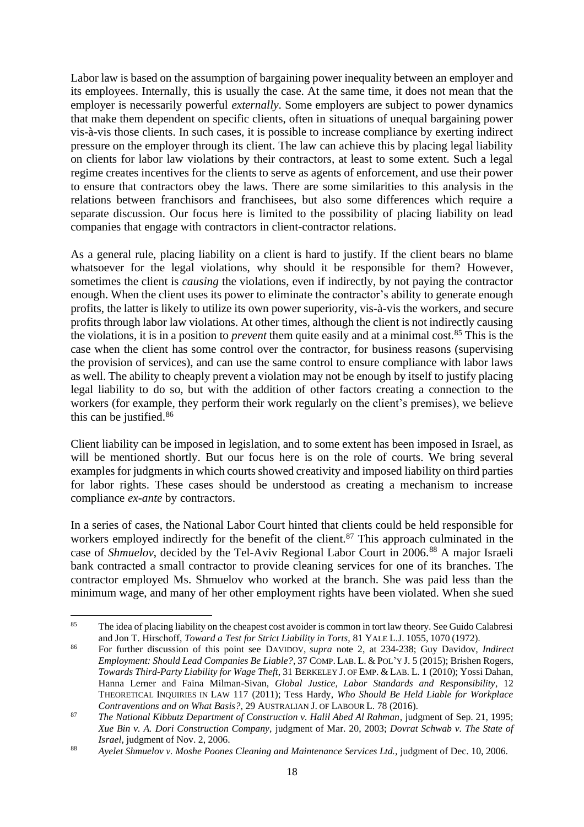Labor law is based on the assumption of bargaining power inequality between an employer and its employees. Internally, this is usually the case. At the same time, it does not mean that the employer is necessarily powerful *externally*. Some employers are subject to power dynamics that make them dependent on specific clients, often in situations of unequal bargaining power vis-à-vis those clients. In such cases, it is possible to increase compliance by exerting indirect pressure on the employer through its client. The law can achieve this by placing legal liability on clients for labor law violations by their contractors, at least to some extent. Such a legal regime creates incentives for the clients to serve as agents of enforcement, and use their power to ensure that contractors obey the laws. There are some similarities to this analysis in the relations between franchisors and franchisees, but also some differences which require a separate discussion. Our focus here is limited to the possibility of placing liability on lead companies that engage with contractors in client-contractor relations.

As a general rule, placing liability on a client is hard to justify. If the client bears no blame whatsoever for the legal violations, why should it be responsible for them? However, sometimes the client is *causing* the violations, even if indirectly, by not paying the contractor enough. When the client uses its power to eliminate the contractor's ability to generate enough profits, the latter is likely to utilize its own power superiority, vis-à-vis the workers, and secure profits through labor law violations. At other times, although the client is not indirectly causing the violations, it is in a position to *prevent* them quite easily and at a minimal cost.<sup>85</sup> This is the case when the client has some control over the contractor, for business reasons (supervising the provision of services), and can use the same control to ensure compliance with labor laws as well. The ability to cheaply prevent a violation may not be enough by itself to justify placing legal liability to do so, but with the addition of other factors creating a connection to the workers (for example, they perform their work regularly on the client's premises), we believe this can be justified.<sup>86</sup>

Client liability can be imposed in legislation, and to some extent has been imposed in Israel, as will be mentioned shortly. But our focus here is on the role of courts. We bring several examples for judgments in which courts showed creativity and imposed liability on third parties for labor rights. These cases should be understood as creating a mechanism to increase compliance *ex-ante* by contractors.

In a series of cases, the National Labor Court hinted that clients could be held responsible for workers employed indirectly for the benefit of the client.<sup>87</sup> This approach culminated in the case of *Shmuelov*, decided by the Tel-Aviv Regional Labor Court in 2006.<sup>88</sup> A major Israeli bank contracted a small contractor to provide cleaning services for one of its branches. The contractor employed Ms. Shmuelov who worked at the branch. She was paid less than the minimum wage, and many of her other employment rights have been violated. When she sued

<sup>&</sup>lt;sup>85</sup> The idea of placing liability on the cheapest cost avoider is common in tort law theory. See Guido Calabresi and Jon T. Hirschoff, *Toward a Test for Strict Liability in Torts,* 81 YALE L.J. 1055, 1070 (1972).

<sup>86</sup> For further discussion of this point see DAVIDOV, *supra* note [2,](#page-0-0) at 234-238; Guy Davidov, *Indirect Employment: Should Lead Companies Be Liable?*, 37 COMP. LAB. L. & POL'Y J. 5 (2015); Brishen Rogers, *Towards Third-Party Liability for Wage Theft*, 31 BERKELEY J. OF EMP. & LAB. L. 1 (2010); Yossi Dahan, Hanna Lerner and Faina Milman-Sivan, *Global Justice, Labor Standards and Responsibility*, 12 THEORETICAL INQUIRIES IN LAW 117 (2011); Tess Hardy, *Who Should Be Held Liable for Workplace Contraventions and on What Basis?*, 29 AUSTRALIAN J. OF LABOUR L. 78 (2016).

<sup>87</sup> *The National Kibbutz Department of Construction v. Halil Abed Al Rahman*, judgment of Sep. 21, 1995; *Xue Bin v. A. Dori Construction Company,* judgment of Mar. 20, 2003; *Dovrat Schwab v. The State of Israel,* judgment of Nov. 2, 2006.

<sup>88</sup> *Ayelet Shmuelov v. Moshe Poones Cleaning and Maintenance Services Ltd.,* judgment of Dec. 10, 2006.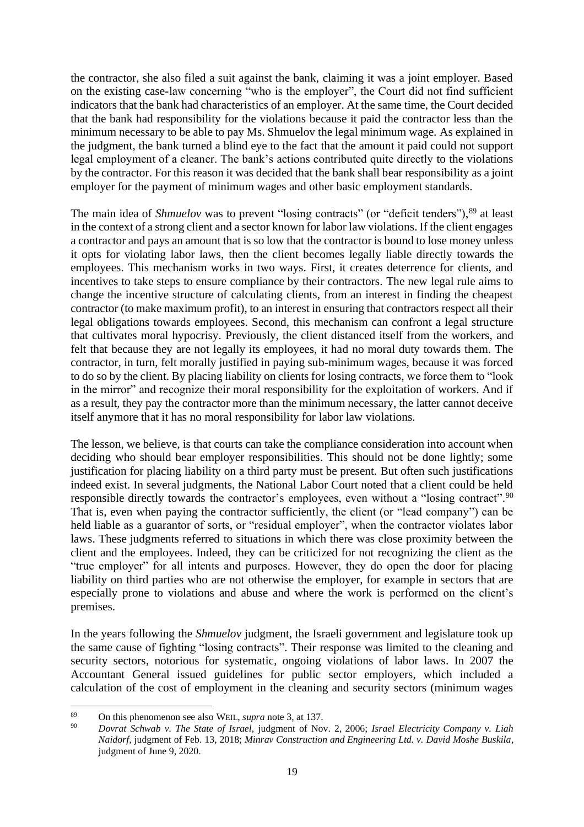the contractor, she also filed a suit against the bank, claiming it was a joint employer. Based on the existing case-law concerning "who is the employer", the Court did not find sufficient indicators that the bank had characteristics of an employer. At the same time, the Court decided that the bank had responsibility for the violations because it paid the contractor less than the minimum necessary to be able to pay Ms. Shmuelov the legal minimum wage. As explained in the judgment, the bank turned a blind eye to the fact that the amount it paid could not support legal employment of a cleaner. The bank's actions contributed quite directly to the violations by the contractor. For this reason it was decided that the bank shall bear responsibility as a joint employer for the payment of minimum wages and other basic employment standards.

The main idea of *Shmuelov* was to prevent "losing contracts" (or "deficit tenders"),<sup>89</sup> at least in the context of a strong client and a sector known for labor law violations. If the client engages a contractor and pays an amount that is so low that the contractor is bound to lose money unless it opts for violating labor laws, then the client becomes legally liable directly towards the employees. This mechanism works in two ways. First, it creates deterrence for clients, and incentives to take steps to ensure compliance by their contractors. The new legal rule aims to change the incentive structure of calculating clients, from an interest in finding the cheapest contractor (to make maximum profit), to an interest in ensuring that contractors respect all their legal obligations towards employees. Second, this mechanism can confront a legal structure that cultivates moral hypocrisy. Previously, the client distanced itself from the workers, and felt that because they are not legally its employees, it had no moral duty towards them. The contractor, in turn, felt morally justified in paying sub-minimum wages, because it was forced to do so by the client. By placing liability on clients for losing contracts, we force them to "look in the mirror" and recognize their moral responsibility for the exploitation of workers. And if as a result, they pay the contractor more than the minimum necessary, the latter cannot deceive itself anymore that it has no moral responsibility for labor law violations.

The lesson, we believe, is that courts can take the compliance consideration into account when deciding who should bear employer responsibilities. This should not be done lightly; some justification for placing liability on a third party must be present. But often such justifications indeed exist. In several judgments, the National Labor Court noted that a client could be held responsible directly towards the contractor's employees, even without a "losing contract".<sup>90</sup> That is, even when paying the contractor sufficiently, the client (or "lead company") can be held liable as a guarantor of sorts, or "residual employer", when the contractor violates labor laws. These judgments referred to situations in which there was close proximity between the client and the employees. Indeed, they can be criticized for not recognizing the client as the "true employer" for all intents and purposes. However, they do open the door for placing liability on third parties who are not otherwise the employer, for example in sectors that are especially prone to violations and abuse and where the work is performed on the client's premises.

In the years following the *Shmuelov* judgment, the Israeli government and legislature took up the same cause of fighting "losing contracts". Their response was limited to the cleaning and security sectors, notorious for systematic, ongoing violations of labor laws. In 2007 the Accountant General issued guidelines for public sector employers, which included a calculation of the cost of employment in the cleaning and security sectors (minimum wages

<sup>89</sup> On this phenomenon see also WEIL, *supra* note [3,](#page-0-1) at 137.

<sup>90</sup> *Dovrat Schwab v. The State of Israel,* judgment of Nov. 2, 2006; *Israel Electricity Company v. Liah Naidorf,* judgment of Feb. 13, 2018; *Minrav Construction and Engineering Ltd. v. David Moshe Buskila*, judgment of June 9, 2020.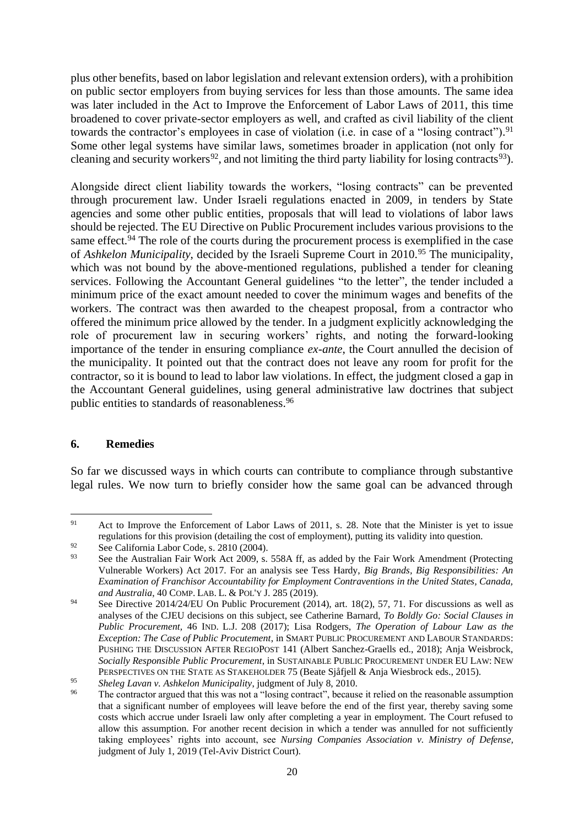plus other benefits, based on labor legislation and relevant extension orders), with a prohibition on public sector employers from buying services for less than those amounts. The same idea was later included in the Act to Improve the Enforcement of Labor Laws of 2011, this time broadened to cover private-sector employers as well, and crafted as civil liability of the client towards the contractor's employees in case of violation (i.e. in case of a "losing contract").<sup>91</sup> Some other legal systems have similar laws, sometimes broader in application (not only for cleaning and security workers<sup>92</sup>, and not limiting the third party liability for losing contracts<sup>93</sup>).

Alongside direct client liability towards the workers, "losing contracts" can be prevented through procurement law. Under Israeli regulations enacted in 2009, in tenders by State agencies and some other public entities, proposals that will lead to violations of labor laws should be rejected. The EU Directive on Public Procurement includes various provisions to the same effect.<sup>94</sup> The role of the courts during the procurement process is exemplified in the case of *Ashkelon Municipality*, decided by the Israeli Supreme Court in 2010.<sup>95</sup> The municipality, which was not bound by the above-mentioned regulations, published a tender for cleaning services. Following the Accountant General guidelines "to the letter", the tender included a minimum price of the exact amount needed to cover the minimum wages and benefits of the workers. The contract was then awarded to the cheapest proposal, from a contractor who offered the minimum price allowed by the tender. In a judgment explicitly acknowledging the role of procurement law in securing workers' rights, and noting the forward-looking importance of the tender in ensuring compliance *ex-ante*, the Court annulled the decision of the municipality. It pointed out that the contract does not leave any room for profit for the contractor, so it is bound to lead to labor law violations. In effect, the judgment closed a gap in the Accountant General guidelines, using general administrative law doctrines that subject public entities to standards of reasonableness.<sup>96</sup>

## **6. Remedies**

So far we discussed ways in which courts can contribute to compliance through substantive legal rules. We now turn to briefly consider how the same goal can be advanced through

<sup>&</sup>lt;sup>91</sup> Act to Improve the Enforcement of Labor Laws of 2011, s. 28. Note that the Minister is yet to issue regulations for this provision (detailing the cost of employment), putting its validity into question.

<sup>&</sup>lt;sup>92</sup> See California Labor Code, s. 2810 (2004).<br><sup>93</sup> See the Australian Feir Work Act 2000 s.

See the Australian Fair Work Act 2009, s. 558A ff, as added by the Fair Work Amendment (Protecting Vulnerable Workers) Act 2017. For an analysis see Tess Hardy, *Big Brands, Big Responsibilities: An Examination of Franchisor Accountability for Employment Contraventions in the United States, Canada, and Australia*, 40 COMP. LAB. L. & POL'Y J. 285 (2019).

<sup>&</sup>lt;sup>94</sup> See Directive 2014/24/EU On Public Procurement (2014), art. 18(2), 57, 71. For discussions as well as analyses of the CJEU decisions on this subject, see Catherine Barnard, *To Boldly Go: Social Clauses in Public Procurement,* 46 IND. L.J. 208 (2017); Lisa Rodgers, *The Operation of Labour Law as the Exception: The Case of Public Procutement*, in SMART PUBLIC PROCUREMENT AND LABOUR STANDARDS: PUSHING THE DISCUSSION AFTER REGIOPOST 141 (Albert Sanchez-Graells ed., 2018); Anja Weisbrock, *Socially Responsible Public Procurement*, in SUSTAINABLE PUBLIC PROCUREMENT UNDER EU LAW: NEW PERSPECTIVES ON THE STATE AS STAKEHOLDER 75 (Beate Sjåfjell & Anja Wiesbrock eds., 2015).

<sup>95</sup> *Sheleg Lavan v. Ashkelon Municipality*, judgment of July 8, 2010.

The contractor argued that this was not a "losing contract", because it relied on the reasonable assumption that a significant number of employees will leave before the end of the first year, thereby saving some costs which accrue under Israeli law only after completing a year in employment. The Court refused to allow this assumption. For another recent decision in which a tender was annulled for not sufficiently taking employees' rights into account, see *Nursing Companies Association v. Ministry of Defense,* judgment of July 1, 2019 (Tel-Aviv District Court).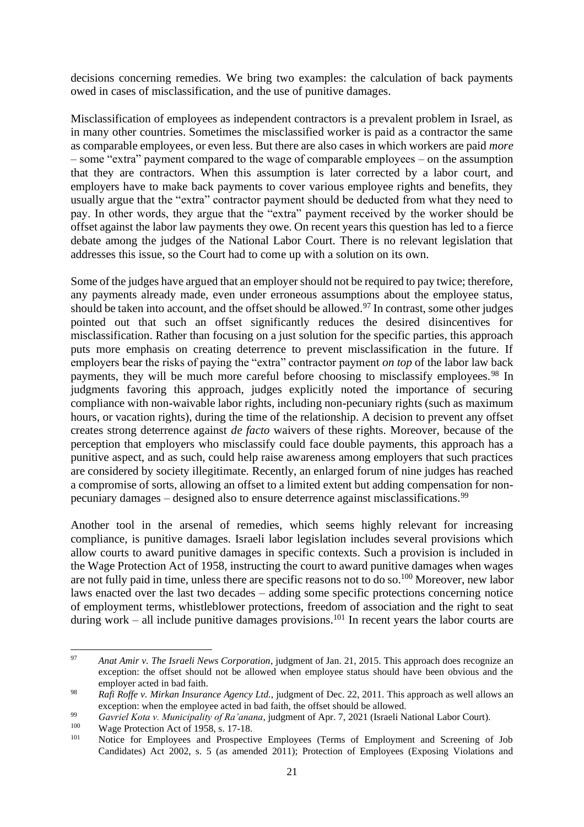decisions concerning remedies. We bring two examples: the calculation of back payments owed in cases of misclassification, and the use of punitive damages.

Misclassification of employees as independent contractors is a prevalent problem in Israel, as in many other countries. Sometimes the misclassified worker is paid as a contractor the same as comparable employees, or even less. But there are also cases in which workers are paid *more* – some "extra" payment compared to the wage of comparable employees – on the assumption that they are contractors. When this assumption is later corrected by a labor court, and employers have to make back payments to cover various employee rights and benefits, they usually argue that the "extra" contractor payment should be deducted from what they need to pay. In other words, they argue that the "extra" payment received by the worker should be offset against the labor law payments they owe. On recent years this question has led to a fierce debate among the judges of the National Labor Court. There is no relevant legislation that addresses this issue, so the Court had to come up with a solution on its own.

Some of the judges have argued that an employer should not be required to pay twice; therefore, any payments already made, even under erroneous assumptions about the employee status, should be taken into account, and the offset should be allowed.<sup>97</sup> In contrast, some other judges pointed out that such an offset significantly reduces the desired disincentives for misclassification. Rather than focusing on a just solution for the specific parties, this approach puts more emphasis on creating deterrence to prevent misclassification in the future. If employers bear the risks of paying the "extra" contractor payment *on top* of the labor law back payments, they will be much more careful before choosing to misclassify employees.<sup>98</sup> In judgments favoring this approach, judges explicitly noted the importance of securing compliance with non-waivable labor rights, including non-pecuniary rights (such as maximum hours, or vacation rights), during the time of the relationship. A decision to prevent any offset creates strong deterrence against *de facto* waivers of these rights. Moreover, because of the perception that employers who misclassify could face double payments, this approach has a punitive aspect, and as such, could help raise awareness among employers that such practices are considered by society illegitimate. Recently, an enlarged forum of nine judges has reached a compromise of sorts, allowing an offset to a limited extent but adding compensation for nonpecuniary damages – designed also to ensure deterrence against misclassifications.<sup>99</sup>

Another tool in the arsenal of remedies, which seems highly relevant for increasing compliance, is punitive damages. Israeli labor legislation includes several provisions which allow courts to award punitive damages in specific contexts. Such a provision is included in the Wage Protection Act of 1958, instructing the court to award punitive damages when wages are not fully paid in time, unless there are specific reasons not to do so.<sup>100</sup> Moreover, new labor laws enacted over the last two decades – adding some specific protections concerning notice of employment terms, whistleblower protections, freedom of association and the right to seat during work – all include punitive damages provisions.<sup>101</sup> In recent years the labor courts are

<sup>97</sup> *Anat Amir v. The Israeli News Corporation*, judgment of Jan. 21, 2015. This approach does recognize an exception: the offset should not be allowed when employee status should have been obvious and the employer acted in bad faith.

<sup>98</sup> *Rafi Roffe v. Mirkan Insurance Agency Ltd.*, judgment of Dec. 22, 2011. This approach as well allows an exception: when the employee acted in bad faith, the offset should be allowed.

<sup>99</sup> *Gavriel Kota v. Municipality of Ra'anana*, judgment of Apr. 7, 2021 (Israeli National Labor Court).

<sup>&</sup>lt;sup>100</sup> Wage Protection Act of 1958, s. 17-18.

Notice for Employees and Prospective Employees (Terms of Employment and Screening of Job Candidates) Act 2002, s. 5 (as amended 2011); Protection of Employees (Exposing Violations and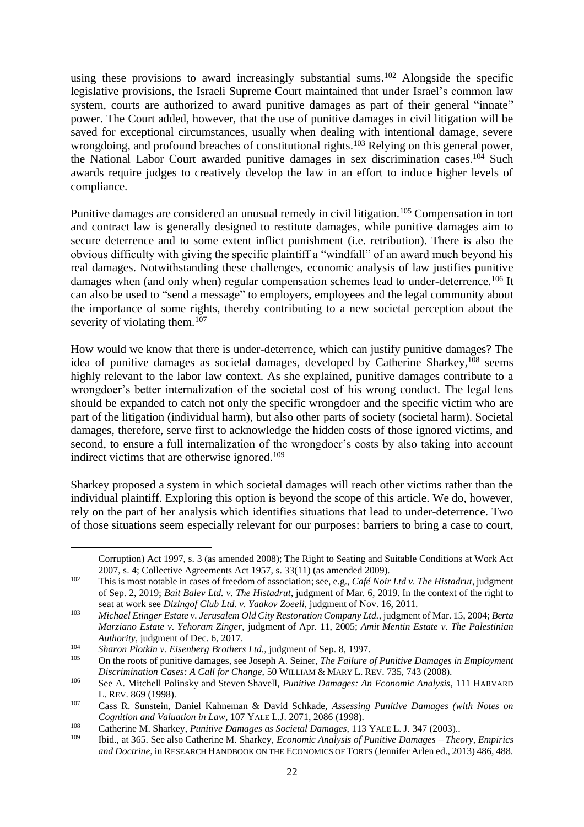using these provisions to award increasingly substantial sums.<sup>102</sup> Alongside the specific legislative provisions, the Israeli Supreme Court maintained that under Israel's common law system, courts are authorized to award punitive damages as part of their general "innate" power. The Court added, however, that the use of punitive damages in civil litigation will be saved for exceptional circumstances, usually when dealing with intentional damage, severe wrongdoing, and profound breaches of constitutional rights.<sup>103</sup> Relying on this general power, the National Labor Court awarded punitive damages in sex discrimination cases.<sup>104</sup> Such awards require judges to creatively develop the law in an effort to induce higher levels of compliance.

Punitive damages are considered an unusual remedy in civil litigation.<sup>105</sup> Compensation in tort and contract law is generally designed to restitute damages, while punitive damages aim to secure deterrence and to some extent inflict punishment (i.e. retribution). There is also the obvious difficulty with giving the specific plaintiff a "windfall" of an award much beyond his real damages. Notwithstanding these challenges, economic analysis of law justifies punitive damages when (and only when) regular compensation schemes lead to under-deterrence.<sup>106</sup> It can also be used to "send a message" to employers, employees and the legal community about the importance of some rights, thereby contributing to a new societal perception about the severity of violating them.<sup>107</sup>

<span id="page-21-0"></span>How would we know that there is under-deterrence, which can justify punitive damages? The idea of punitive damages as societal damages, developed by Catherine Sharkey,<sup>108</sup> seems highly relevant to the labor law context. As she explained, punitive damages contribute to a wrongdoer's better internalization of the societal cost of his wrong conduct. The legal lens should be expanded to catch not only the specific wrongdoer and the specific victim who are part of the litigation (individual harm), but also other parts of society (societal harm). Societal damages, therefore, serve first to acknowledge the hidden costs of those ignored victims, and second, to ensure a full internalization of the wrongdoer's costs by also taking into account indirect victims that are otherwise ignored.<sup>109</sup>

Sharkey proposed a system in which societal damages will reach other victims rather than the individual plaintiff. Exploring this option is beyond the scope of this article. We do, however, rely on the part of her analysis which identifies situations that lead to under-deterrence. Two of those situations seem especially relevant for our purposes: barriers to bring a case to court,

Corruption) Act 1997, s. 3 (as amended 2008); The Right to Seating and Suitable Conditions at Work Act 2007, s. 4; Collective Agreements Act 1957, s. 33(11) (as amended 2009).

<sup>102</sup> This is most notable in cases of freedom of association; see, e.g., *Café Noir Ltd v. The Histadrut*, judgment of Sep. 2, 2019; *Bait Balev Ltd. v. The Histadrut*, judgment of Mar. 6, 2019. In the context of the right to seat at work see *Dizingof Club Ltd. v. Yaakov Zoeeli,* judgment of Nov. 16, 2011.

<sup>103</sup> *Michael Etinger Estate v. Jerusalem Old City Restoration Company Ltd.*, judgment of Mar. 15, 2004; *Berta Marziano Estate v. Yehoram Zinger,* judgment of Apr. 11, 2005; *Amit Mentin Estate v. The Palestinian Authority*, judgment of Dec. 6, 2017.

<sup>104</sup> *Sharon Plotkin v. Eisenberg Brothers Ltd.,* judgment of Sep. 8, 1997.

<sup>105</sup> On the roots of punitive damages, see Joseph A. Seiner, *The Failure of Punitive Damages in Employment Discrimination Cases: A Call for Change,* 50 WILLIAM & MARY L. REV. 735, 743 (2008).

<sup>106</sup> See A. Mitchell Polinsky and Steven Shavell, *Punitive Damages: An Economic Analysis*, 111 HARVARD L. REV. 869 (1998).

<sup>107</sup> Cass R. Sunstein, Daniel Kahneman & David Schkade, *Assessing Punitive Damages (with Notes on Cognition and Valuation in Law*, 107 YALE L.J. 2071, 2086 (1998).

<sup>108</sup> Catherine M. Sharkey, *Punitive Damages as Societal Damages,* 113 YALE L. J. 347 (2003)..

<sup>109</sup> Ibid., at 365. See also Catherine M. Sharkey, *Economic Analysis of Punitive Damages – Theory, Empirics and Doctrine*, in RESEARCH HANDBOOK ON THE ECONOMICS OF TORTS (Jennifer Arlen ed., 2013) 486, 488.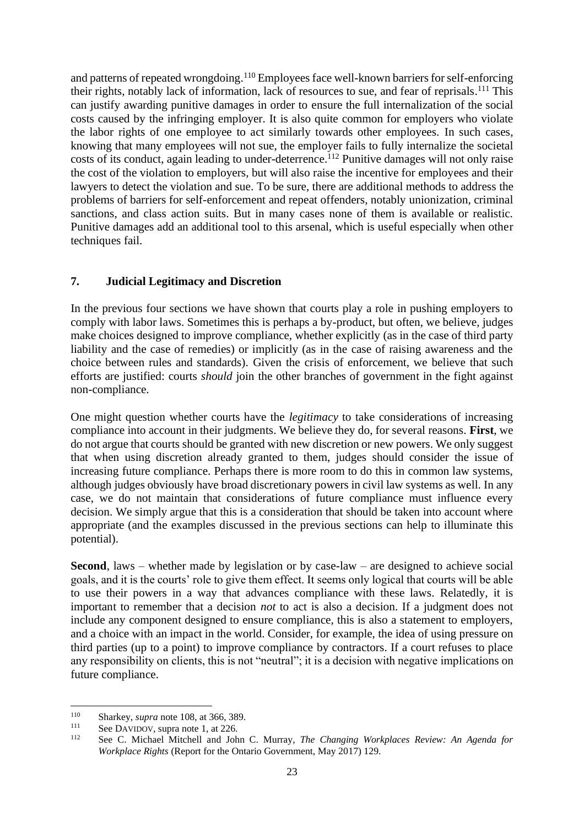and patterns of repeated wrongdoing.<sup>110</sup> Employees face well-known barriers for self-enforcing their rights, notably lack of information, lack of resources to sue, and fear of reprisals.<sup>111</sup> This can justify awarding punitive damages in order to ensure the full internalization of the social costs caused by the infringing employer. It is also quite common for employers who violate the labor rights of one employee to act similarly towards other employees. In such cases, knowing that many employees will not sue, the employer fails to fully internalize the societal costs of its conduct, again leading to under-deterrence. <sup>112</sup> Punitive damages will not only raise the cost of the violation to employers, but will also raise the incentive for employees and their lawyers to detect the violation and sue. To be sure, there are additional methods to address the problems of barriers for self-enforcement and repeat offenders, notably unionization, criminal sanctions, and class action suits. But in many cases none of them is available or realistic. Punitive damages add an additional tool to this arsenal, which is useful especially when other techniques fail.

# **7. Judicial Legitimacy and Discretion**

In the previous four sections we have shown that courts play a role in pushing employers to comply with labor laws. Sometimes this is perhaps a by-product, but often, we believe, judges make choices designed to improve compliance, whether explicitly (as in the case of third party liability and the case of remedies) or implicitly (as in the case of raising awareness and the choice between rules and standards). Given the crisis of enforcement, we believe that such efforts are justified: courts *should* join the other branches of government in the fight against non-compliance.

One might question whether courts have the *legitimacy* to take considerations of increasing compliance into account in their judgments. We believe they do, for several reasons. **First**, we do not argue that courts should be granted with new discretion or new powers. We only suggest that when using discretion already granted to them, judges should consider the issue of increasing future compliance. Perhaps there is more room to do this in common law systems, although judges obviously have broad discretionary powers in civil law systems as well. In any case, we do not maintain that considerations of future compliance must influence every decision. We simply argue that this is a consideration that should be taken into account where appropriate (and the examples discussed in the previous sections can help to illuminate this potential).

**Second**, laws – whether made by legislation or by case-law – are designed to achieve social goals, and it is the courts' role to give them effect. It seems only logical that courts will be able to use their powers in a way that advances compliance with these laws. Relatedly, it is important to remember that a decision *not* to act is also a decision. If a judgment does not include any component designed to ensure compliance, this is also a statement to employers, and a choice with an impact in the world. Consider, for example, the idea of using pressure on third parties (up to a point) to improve compliance by contractors. If a court refuses to place any responsibility on clients, this is not "neutral"; it is a decision with negative implications on future compliance.

<sup>&</sup>lt;sup>110</sup> Sharkey, *supra* note [108,](#page-21-0) at 366, 389.

<sup>&</sup>lt;sup>111</sup> See DAVIDOV, supra note 1, at 226.

<sup>112</sup> See C. Michael Mitchell and John C. Murray, *The Changing Workplaces Review: An Agenda for Workplace Rights* (Report for the Ontario Government, May 2017) 129.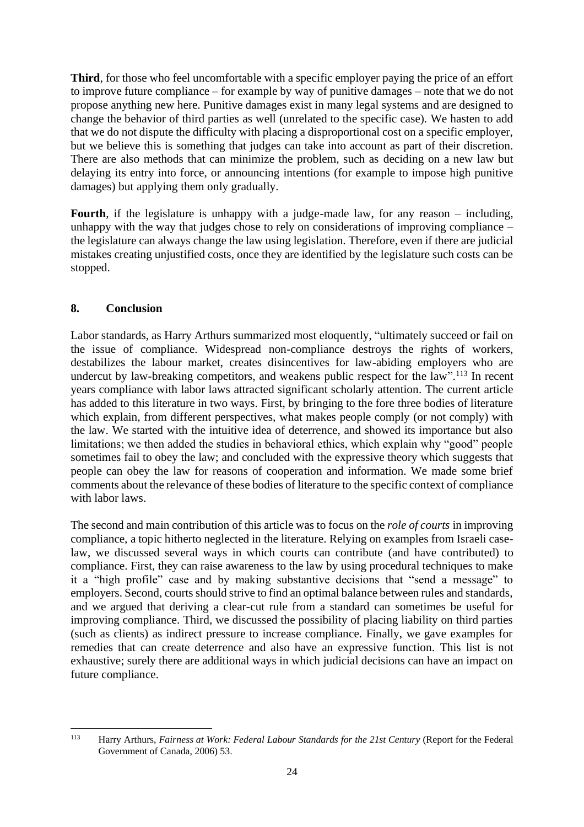**Third**, for those who feel uncomfortable with a specific employer paying the price of an effort to improve future compliance – for example by way of punitive damages – note that we do not propose anything new here. Punitive damages exist in many legal systems and are designed to change the behavior of third parties as well (unrelated to the specific case). We hasten to add that we do not dispute the difficulty with placing a disproportional cost on a specific employer, but we believe this is something that judges can take into account as part of their discretion. There are also methods that can minimize the problem, such as deciding on a new law but delaying its entry into force, or announcing intentions (for example to impose high punitive damages) but applying them only gradually.

**Fourth**, if the legislature is unhappy with a judge-made law, for any reason – including, unhappy with the way that judges chose to rely on considerations of improving compliance – the legislature can always change the law using legislation. Therefore, even if there are judicial mistakes creating unjustified costs, once they are identified by the legislature such costs can be stopped.

# **8. Conclusion**

Labor standards, as Harry Arthurs summarized most eloquently, "ultimately succeed or fail on the issue of compliance. Widespread non-compliance destroys the rights of workers, destabilizes the labour market, creates disincentives for law-abiding employers who are undercut by law-breaking competitors, and weakens public respect for the law".<sup>113</sup> In recent years compliance with labor laws attracted significant scholarly attention. The current article has added to this literature in two ways. First, by bringing to the fore three bodies of literature which explain, from different perspectives, what makes people comply (or not comply) with the law. We started with the intuitive idea of deterrence, and showed its importance but also limitations; we then added the studies in behavioral ethics, which explain why "good" people sometimes fail to obey the law; and concluded with the expressive theory which suggests that people can obey the law for reasons of cooperation and information. We made some brief comments about the relevance of these bodies of literature to the specific context of compliance with labor laws.

The second and main contribution of this article was to focus on the *role of courts* in improving compliance, a topic hitherto neglected in the literature. Relying on examples from Israeli caselaw, we discussed several ways in which courts can contribute (and have contributed) to compliance. First, they can raise awareness to the law by using procedural techniques to make it a "high profile" case and by making substantive decisions that "send a message" to employers. Second, courts should strive to find an optimal balance between rules and standards, and we argued that deriving a clear-cut rule from a standard can sometimes be useful for improving compliance. Third, we discussed the possibility of placing liability on third parties (such as clients) as indirect pressure to increase compliance. Finally, we gave examples for remedies that can create deterrence and also have an expressive function. This list is not exhaustive; surely there are additional ways in which judicial decisions can have an impact on future compliance.

<sup>113</sup> Harry Arthurs, *Fairness at Work: Federal Labour Standards for the 21st Century* (Report for the Federal Government of Canada, 2006) 53.